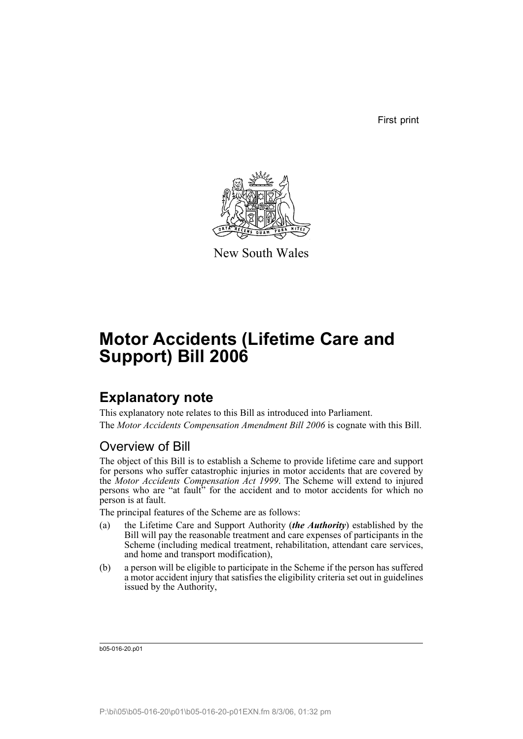First print



New South Wales

# **Motor Accidents (Lifetime Care and Support) Bill 2006**

# **Explanatory note**

This explanatory note relates to this Bill as introduced into Parliament. The *Motor Accidents Compensation Amendment Bill 2006* is cognate with this Bill.

# Overview of Bill

The object of this Bill is to establish a Scheme to provide lifetime care and support for persons who suffer catastrophic injuries in motor accidents that are covered by the *Motor Accidents Compensation Act 1999*. The Scheme will extend to injured persons who are "at fault" for the accident and to motor accidents for which no person is at fault.

The principal features of the Scheme are as follows:

- (a) the Lifetime Care and Support Authority (*the Authority*) established by the Bill will pay the reasonable treatment and care expenses of participants in the Scheme (including medical treatment, rehabilitation, attendant care services, and home and transport modification),
- (b) a person will be eligible to participate in the Scheme if the person has suffered a motor accident injury that satisfies the eligibility criteria set out in guidelines issued by the Authority,

b05-016-20.p01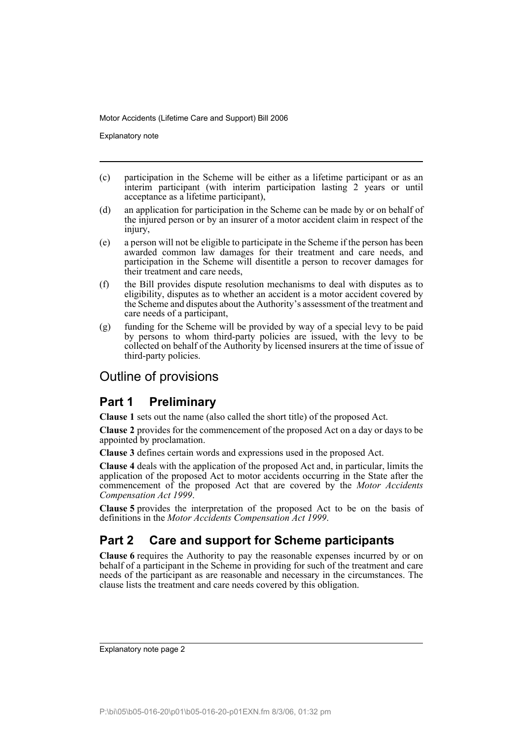Explanatory note

- (c) participation in the Scheme will be either as a lifetime participant or as an interim participant (with interim participation lasting 2 years or until acceptance as a lifetime participant),
- (d) an application for participation in the Scheme can be made by or on behalf of the injured person or by an insurer of a motor accident claim in respect of the injury,
- (e) a person will not be eligible to participate in the Scheme if the person has been awarded common law damages for their treatment and care needs, and participation in the Scheme will disentitle a person to recover damages for their treatment and care needs,
- (f) the Bill provides dispute resolution mechanisms to deal with disputes as to eligibility, disputes as to whether an accident is a motor accident covered by the Scheme and disputes about the Authority's assessment of the treatment and care needs of a participant,
- (g) funding for the Scheme will be provided by way of a special levy to be paid by persons to whom third-party policies are issued, with the levy to be collected on behalf of the Authority by licensed insurers at the time of issue of third-party policies.

# Outline of provisions

# **Part 1 Preliminary**

**Clause 1** sets out the name (also called the short title) of the proposed Act.

**Clause 2** provides for the commencement of the proposed Act on a day or days to be appointed by proclamation.

**Clause 3** defines certain words and expressions used in the proposed Act.

**Clause 4** deals with the application of the proposed Act and, in particular, limits the application of the proposed Act to motor accidents occurring in the State after the commencement of the proposed Act that are covered by the *Motor Accidents Compensation Act 1999*.

**Clause 5** provides the interpretation of the proposed Act to be on the basis of definitions in the *Motor Accidents Compensation Act 1999*.

# **Part 2 Care and support for Scheme participants**

**Clause 6** requires the Authority to pay the reasonable expenses incurred by or on behalf of a participant in the Scheme in providing for such of the treatment and care needs of the participant as are reasonable and necessary in the circumstances. The clause lists the treatment and care needs covered by this obligation.

Explanatory note page 2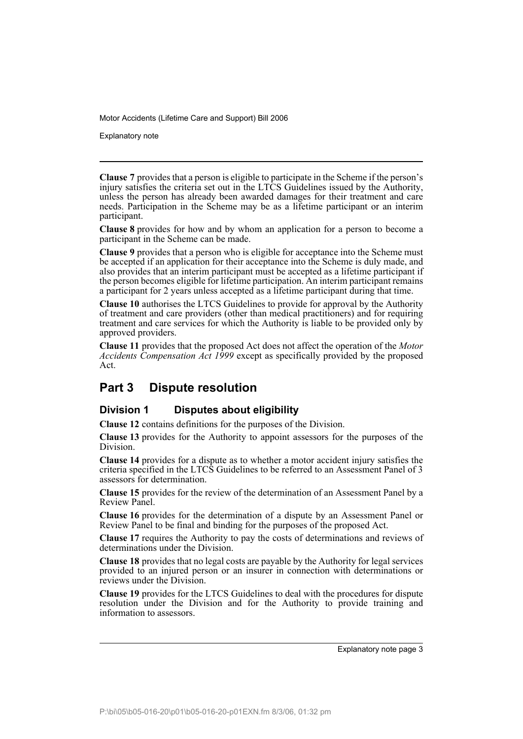Explanatory note

**Clause 7** provides that a person is eligible to participate in the Scheme if the person's injury satisfies the criteria set out in the LTCS Guidelines issued by the Authority, unless the person has already been awarded damages for their treatment and care needs. Participation in the Scheme may be as a lifetime participant or an interim participant.

**Clause 8** provides for how and by whom an application for a person to become a participant in the Scheme can be made.

**Clause 9** provides that a person who is eligible for acceptance into the Scheme must be accepted if an application for their acceptance into the Scheme is duly made, and also provides that an interim participant must be accepted as a lifetime participant if the person becomes eligible for lifetime participation. An interim participant remains a participant for 2 years unless accepted as a lifetime participant during that time.

**Clause 10** authorises the LTCS Guidelines to provide for approval by the Authority of treatment and care providers (other than medical practitioners) and for requiring treatment and care services for which the Authority is liable to be provided only by approved providers.

**Clause 11** provides that the proposed Act does not affect the operation of the *Motor Accidents Compensation Act 1999* except as specifically provided by the proposed Act.

# **Part 3 Dispute resolution**

## **Division 1 Disputes about eligibility**

**Clause 12** contains definitions for the purposes of the Division.

**Clause 13** provides for the Authority to appoint assessors for the purposes of the Division.

**Clause 14** provides for a dispute as to whether a motor accident injury satisfies the criteria specified in the LTCS Guidelines to be referred to an Assessment Panel of 3 assessors for determination.

**Clause 15** provides for the review of the determination of an Assessment Panel by a Review Panel.

**Clause 16** provides for the determination of a dispute by an Assessment Panel or Review Panel to be final and binding for the purposes of the proposed Act.

**Clause 17** requires the Authority to pay the costs of determinations and reviews of determinations under the Division.

**Clause 18** provides that no legal costs are payable by the Authority for legal services provided to an injured person or an insurer in connection with determinations or reviews under the Division.

**Clause 19** provides for the LTCS Guidelines to deal with the procedures for dispute resolution under the Division and for the Authority to provide training and information to assessors.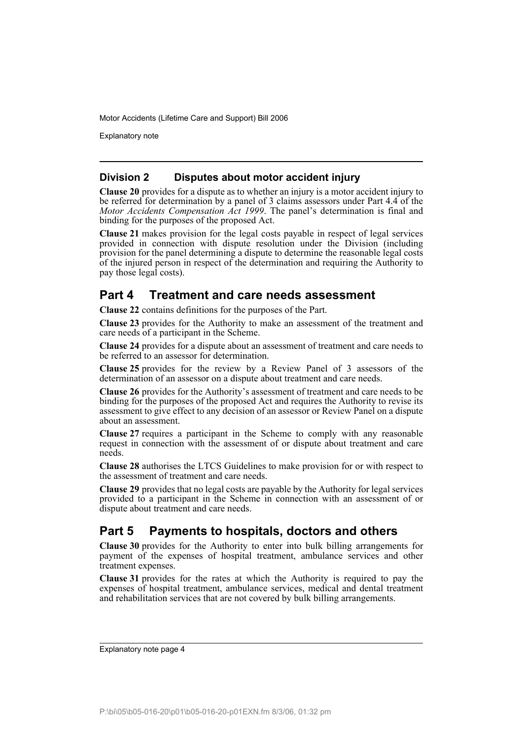Explanatory note

### **Division 2 Disputes about motor accident injury**

**Clause 20** provides for a dispute as to whether an injury is a motor accident injury to be referred for determination by a panel of 3 claims assessors under Part 4.4 of the *Motor Accidents Compensation Act 1999*. The panel's determination is final and binding for the purposes of the proposed Act.

**Clause 21** makes provision for the legal costs payable in respect of legal services provided in connection with dispute resolution under the Division (including provision for the panel determining a dispute to determine the reasonable legal costs of the injured person in respect of the determination and requiring the Authority to pay those legal costs).

## **Part 4 Treatment and care needs assessment**

**Clause 22** contains definitions for the purposes of the Part.

**Clause 23** provides for the Authority to make an assessment of the treatment and care needs of a participant in the Scheme.

**Clause 24** provides for a dispute about an assessment of treatment and care needs to be referred to an assessor for determination.

**Clause 25** provides for the review by a Review Panel of 3 assessors of the determination of an assessor on a dispute about treatment and care needs.

**Clause 26** provides for the Authority's assessment of treatment and care needs to be binding for the purposes of the proposed Act and requires the Authority to revise its assessment to give effect to any decision of an assessor or Review Panel on a dispute about an assessment.

**Clause 27** requires a participant in the Scheme to comply with any reasonable request in connection with the assessment of or dispute about treatment and care needs.

**Clause 28** authorises the LTCS Guidelines to make provision for or with respect to the assessment of treatment and care needs.

**Clause 29** provides that no legal costs are payable by the Authority for legal services provided to a participant in the Scheme in connection with an assessment of or dispute about treatment and care needs.

# **Part 5 Payments to hospitals, doctors and others**

**Clause 30** provides for the Authority to enter into bulk billing arrangements for payment of the expenses of hospital treatment, ambulance services and other treatment expenses.

**Clause 31** provides for the rates at which the Authority is required to pay the expenses of hospital treatment, ambulance services, medical and dental treatment and rehabilitation services that are not covered by bulk billing arrangements.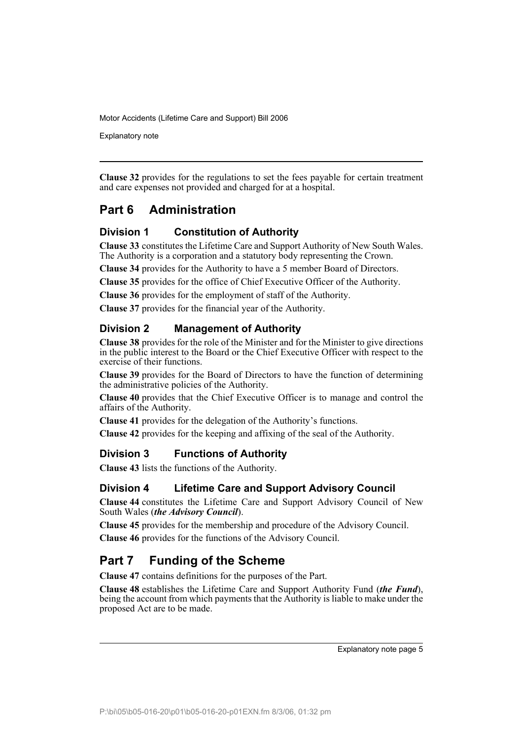Explanatory note

**Clause 32** provides for the regulations to set the fees payable for certain treatment and care expenses not provided and charged for at a hospital.

# **Part 6 Administration**

## **Division 1 Constitution of Authority**

**Clause 33** constitutes the Lifetime Care and Support Authority of New South Wales. The Authority is a corporation and a statutory body representing the Crown.

**Clause 34** provides for the Authority to have a 5 member Board of Directors.

**Clause 35** provides for the office of Chief Executive Officer of the Authority.

**Clause 36** provides for the employment of staff of the Authority.

**Clause 37** provides for the financial year of the Authority.

## **Division 2 Management of Authority**

**Clause 38** provides for the role of the Minister and for the Minister to give directions in the public interest to the Board or the Chief Executive Officer with respect to the exercise of their functions.

**Clause 39** provides for the Board of Directors to have the function of determining the administrative policies of the Authority.

**Clause 40** provides that the Chief Executive Officer is to manage and control the affairs of the Authority.

**Clause 41** provides for the delegation of the Authority's functions.

**Clause 42** provides for the keeping and affixing of the seal of the Authority.

## **Division 3 Functions of Authority**

**Clause 43** lists the functions of the Authority.

## **Division 4 Lifetime Care and Support Advisory Council**

**Clause 44** constitutes the Lifetime Care and Support Advisory Council of New South Wales (*the Advisory Council*).

**Clause 45** provides for the membership and procedure of the Advisory Council.

**Clause 46** provides for the functions of the Advisory Council.

# **Part 7 Funding of the Scheme**

**Clause 47** contains definitions for the purposes of the Part.

**Clause 48** establishes the Lifetime Care and Support Authority Fund (*the Fund*), being the account from which payments that the Authority is liable to make under the proposed Act are to be made.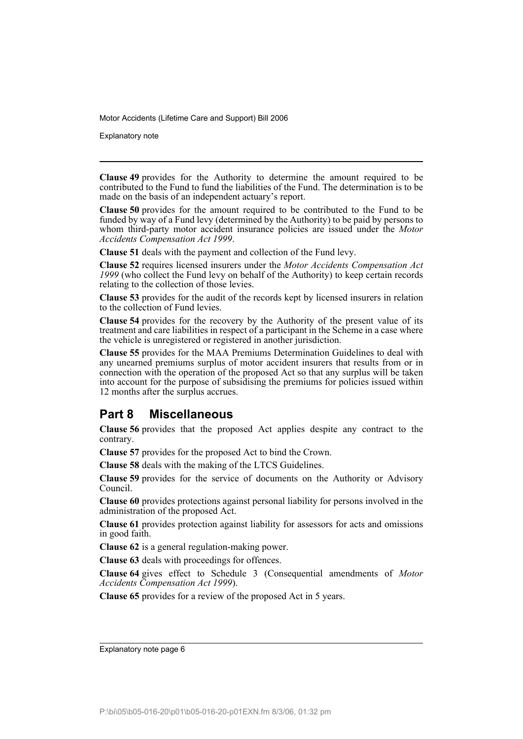Explanatory note

**Clause 49** provides for the Authority to determine the amount required to be contributed to the Fund to fund the liabilities of the Fund. The determination is to be made on the basis of an independent actuary's report.

**Clause 50** provides for the amount required to be contributed to the Fund to be funded by way of a Fund levy (determined by the Authority) to be paid by persons to whom third-party motor accident insurance policies are issued under the *Motor Accidents Compensation Act 1999*.

**Clause 51** deals with the payment and collection of the Fund levy.

**Clause 52** requires licensed insurers under the *Motor Accidents Compensation Act 1999* (who collect the Fund levy on behalf of the Authority) to keep certain records relating to the collection of those levies.

**Clause 53** provides for the audit of the records kept by licensed insurers in relation to the collection of Fund levies.

**Clause 54** provides for the recovery by the Authority of the present value of its treatment and care liabilities in respect of a participant in the Scheme in a case where the vehicle is unregistered or registered in another jurisdiction.

**Clause 55** provides for the MAA Premiums Determination Guidelines to deal with any unearned premiums surplus of motor accident insurers that results from or in connection with the operation of the proposed Act so that any surplus will be taken into account for the purpose of subsidising the premiums for policies issued within 12 months after the surplus accrues.

# **Part 8 Miscellaneous**

**Clause 56** provides that the proposed Act applies despite any contract to the contrary.

**Clause 57** provides for the proposed Act to bind the Crown.

**Clause 58** deals with the making of the LTCS Guidelines.

**Clause 59** provides for the service of documents on the Authority or Advisory Council.

**Clause 60** provides protections against personal liability for persons involved in the administration of the proposed Act.

**Clause 61** provides protection against liability for assessors for acts and omissions in good faith.

**Clause 62** is a general regulation-making power.

**Clause 63** deals with proceedings for offences.

**Clause 64** gives effect to Schedule 3 (Consequential amendments of *Motor Accidents Compensation Act 1999*).

**Clause 65** provides for a review of the proposed Act in 5 years.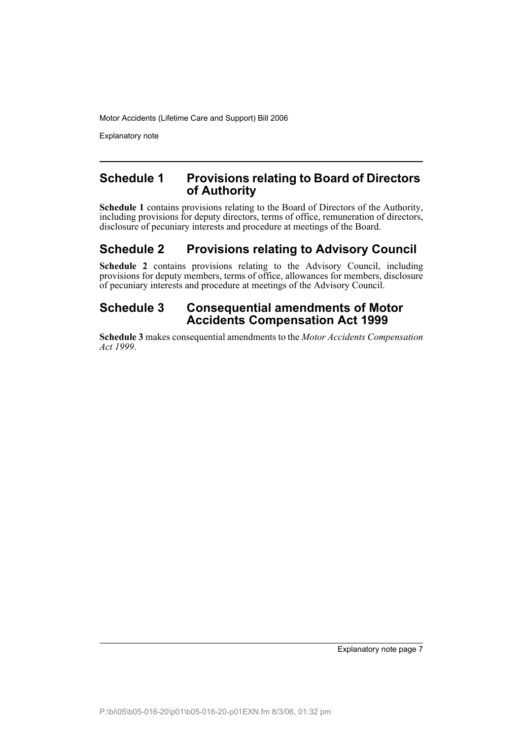Explanatory note

## **Schedule 1 Provisions relating to Board of Directors of Authority**

**Schedule 1** contains provisions relating to the Board of Directors of the Authority, including provisions for deputy directors, terms of office, remuneration of directors, disclosure of pecuniary interests and procedure at meetings of the Board.

# **Schedule 2 Provisions relating to Advisory Council**

**Schedule 2** contains provisions relating to the Advisory Council, including provisions for deputy members, terms of office, allowances for members, disclosure of pecuniary interests and procedure at meetings of the Advisory Council.

# **Schedule 3 Consequential amendments of Motor Accidents Compensation Act 1999**

**Schedule 3** makes consequential amendments to the *Motor Accidents Compensation Act 1999*.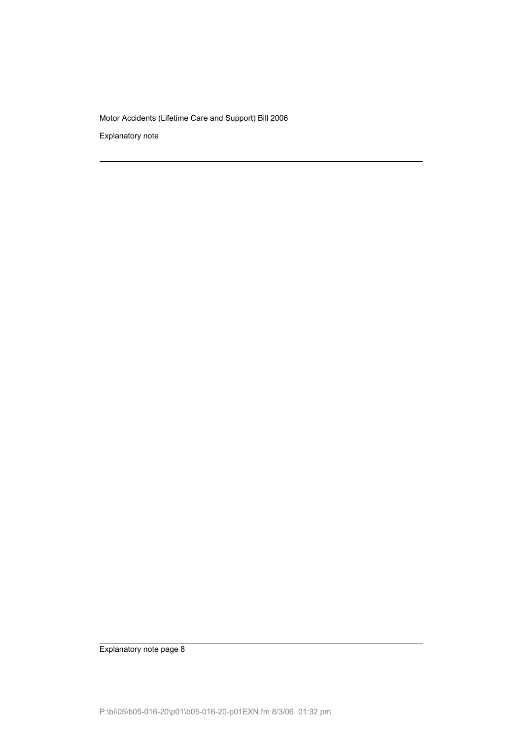Explanatory note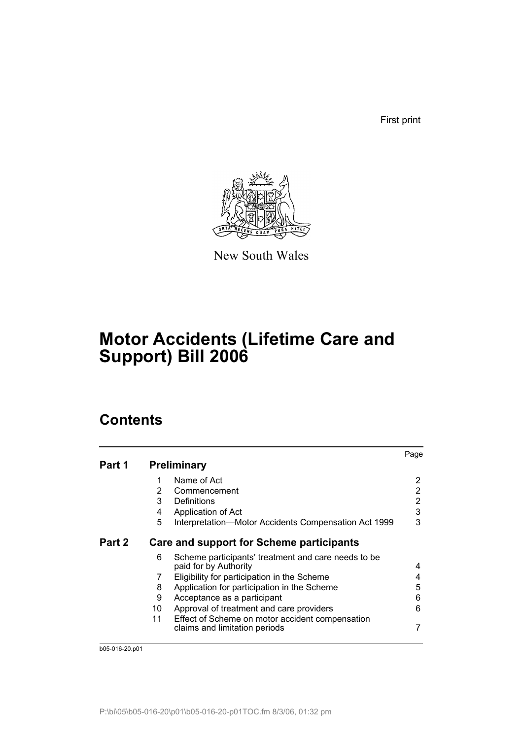First print



New South Wales

# **Motor Accidents (Lifetime Care and Support) Bill 2006**

# **Contents**

|        |                |                                                                                  | Page           |
|--------|----------------|----------------------------------------------------------------------------------|----------------|
| Part 1 |                | <b>Preliminary</b>                                                               |                |
|        | 1              | Name of Act                                                                      | 2              |
|        | $\overline{2}$ | Commencement                                                                     | $\overline{2}$ |
|        | 3              | Definitions                                                                      | $\overline{2}$ |
|        | 4              | Application of Act                                                               | 3              |
|        | 5              | Interpretation-Motor Accidents Compensation Act 1999                             | 3              |
| Part 2 |                | <b>Care and support for Scheme participants</b>                                  |                |
|        | 6              | Scheme participants' treatment and care needs to be<br>paid for by Authority     | 4              |
|        | 7              | Eligibility for participation in the Scheme                                      | 4              |
|        | 8              | Application for participation in the Scheme                                      | 5              |
|        | 9              | Acceptance as a participant                                                      | 6              |
|        | 10             | Approval of treatment and care providers                                         | 6              |
|        | 11             | Effect of Scheme on motor accident compensation<br>claims and limitation periods | 7              |

b05-016-20.p01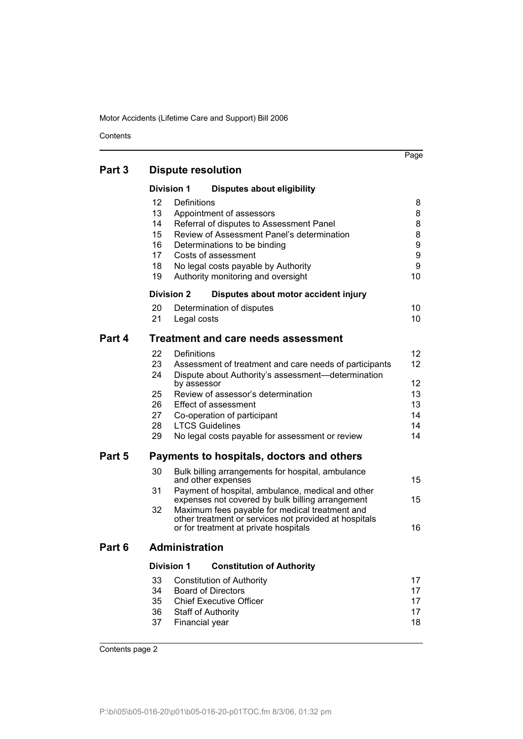Contents

|        |                                              | <b>Division 1</b><br><b>Disputes about eligibility</b>                                                                                                                                                                                                                |                                       |
|--------|----------------------------------------------|-----------------------------------------------------------------------------------------------------------------------------------------------------------------------------------------------------------------------------------------------------------------------|---------------------------------------|
|        | 12<br>13<br>14<br>15<br>16<br>17<br>18<br>19 | Definitions<br>Appointment of assessors<br>Referral of disputes to Assessment Panel<br>Review of Assessment Panel's determination<br>Determinations to be binding<br>Costs of assessment<br>No legal costs payable by Authority<br>Authority monitoring and oversight | 8<br>8<br>8<br>8<br>9<br>9<br>9<br>10 |
|        |                                              | <b>Division 2</b><br>Disputes about motor accident injury                                                                                                                                                                                                             |                                       |
|        | 20<br>21                                     | Determination of disputes<br>Legal costs                                                                                                                                                                                                                              | 10<br>10                              |
| Part 4 |                                              | <b>Treatment and care needs assessment</b>                                                                                                                                                                                                                            |                                       |
|        | 22                                           | Definitions                                                                                                                                                                                                                                                           | 12                                    |
|        | 23<br>24                                     | Assessment of treatment and care needs of participants<br>Dispute about Authority's assessment-determination<br>by assessor                                                                                                                                           | 12<br>12                              |
|        | 25                                           | Review of assessor's determination                                                                                                                                                                                                                                    | 13                                    |
|        | 26                                           | <b>Effect of assessment</b>                                                                                                                                                                                                                                           | 13                                    |
|        | 27<br>28                                     | Co-operation of participant<br><b>LTCS Guidelines</b>                                                                                                                                                                                                                 | 14<br>14                              |
|        | 29                                           | No legal costs payable for assessment or review                                                                                                                                                                                                                       | 14                                    |
| Part 5 |                                              | Payments to hospitals, doctors and others                                                                                                                                                                                                                             |                                       |
|        | 30                                           | Bulk billing arrangements for hospital, ambulance                                                                                                                                                                                                                     |                                       |
|        | 31                                           | and other expenses<br>Payment of hospital, ambulance, medical and other                                                                                                                                                                                               | 15                                    |
|        | 32                                           | expenses not covered by bulk billing arrangement<br>Maximum fees payable for medical treatment and                                                                                                                                                                    | 15                                    |
|        |                                              | other treatment or services not provided at hospitals<br>or for treatment at private hospitals                                                                                                                                                                        | 16                                    |
| Part 6 |                                              | <b>Administration</b>                                                                                                                                                                                                                                                 |                                       |
|        |                                              | <b>Division 1</b><br><b>Constitution of Authority</b>                                                                                                                                                                                                                 |                                       |
|        | 33                                           | <b>Constitution of Authority</b>                                                                                                                                                                                                                                      | 17                                    |
|        | 34                                           | <b>Board of Directors</b>                                                                                                                                                                                                                                             | 17                                    |
|        | 35<br>36                                     | <b>Chief Executive Officer</b><br><b>Staff of Authority</b>                                                                                                                                                                                                           | 17<br>17                              |
|        | 37                                           | Financial year                                                                                                                                                                                                                                                        | 18                                    |
|        |                                              |                                                                                                                                                                                                                                                                       |                                       |

Page

Contents page 2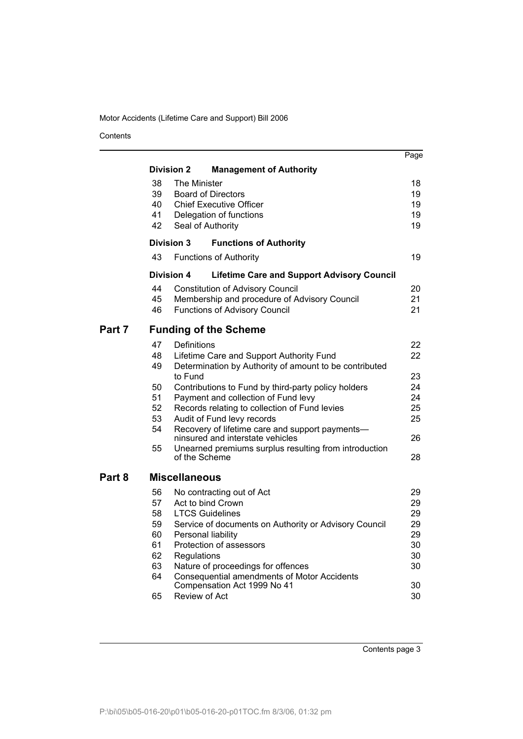Contents

|        |                   |                        |                                                                                            | Page     |
|--------|-------------------|------------------------|--------------------------------------------------------------------------------------------|----------|
|        | <b>Division 2</b> | <b>The Minister</b>    | <b>Management of Authority</b>                                                             |          |
|        | 38<br>39          |                        | <b>Board of Directors</b>                                                                  | 18<br>19 |
|        | 40                |                        | <b>Chief Executive Officer</b>                                                             | 19       |
|        | 41                |                        | Delegation of functions                                                                    | 19       |
|        | 42                | Seal of Authority      |                                                                                            | 19       |
|        | <b>Division 3</b> |                        | <b>Functions of Authority</b>                                                              |          |
|        | 43                |                        | <b>Functions of Authority</b>                                                              | 19       |
|        | Division 4        |                        | <b>Lifetime Care and Support Advisory Council</b>                                          |          |
|        | 44                |                        | <b>Constitution of Advisory Council</b>                                                    | 20       |
|        | 45                |                        | Membership and procedure of Advisory Council                                               | 21       |
|        | 46                |                        | <b>Functions of Advisory Council</b>                                                       | 21       |
| Part 7 |                   |                        | <b>Funding of the Scheme</b>                                                               |          |
|        | 47                | Definitions            |                                                                                            | 22       |
|        | 48                |                        | Lifetime Care and Support Authority Fund                                                   | 22       |
|        | 49                |                        | Determination by Authority of amount to be contributed                                     |          |
|        | 50                | to Fund                |                                                                                            | 23<br>24 |
|        | 51                |                        | Contributions to Fund by third-party policy holders<br>Payment and collection of Fund levy | 24       |
|        | 52                |                        | Records relating to collection of Fund levies                                              | 25       |
|        | 53                |                        | Audit of Fund levy records                                                                 | 25       |
|        | 54                |                        | Recovery of lifetime care and support payments-                                            |          |
|        |                   |                        | ninsured and interstate vehicles                                                           | 26       |
|        | 55                | of the Scheme          | Unearned premiums surplus resulting from introduction                                      | 28       |
| Part 8 |                   | <b>Miscellaneous</b>   |                                                                                            |          |
|        | 56                |                        | No contracting out of Act                                                                  | 29       |
|        | 57                |                        | Act to bind Crown                                                                          | 29       |
|        | 58                | <b>LTCS Guidelines</b> |                                                                                            | 29       |
|        | 59                |                        | Service of documents on Authority or Advisory Council                                      | 29       |
|        | 60<br>61          | Personal liability     | Protection of assessors                                                                    | 29<br>30 |
|        | 62                | Regulations            |                                                                                            | 30       |
|        | 63                |                        | Nature of proceedings for offences                                                         | 30       |
|        | 64                |                        | <b>Consequential amendments of Motor Accidents</b>                                         |          |
|        |                   |                        | Compensation Act 1999 No 41                                                                | 30       |
|        | 65                | Review of Act          |                                                                                            | 30       |
|        |                   |                        |                                                                                            |          |

Contents page 3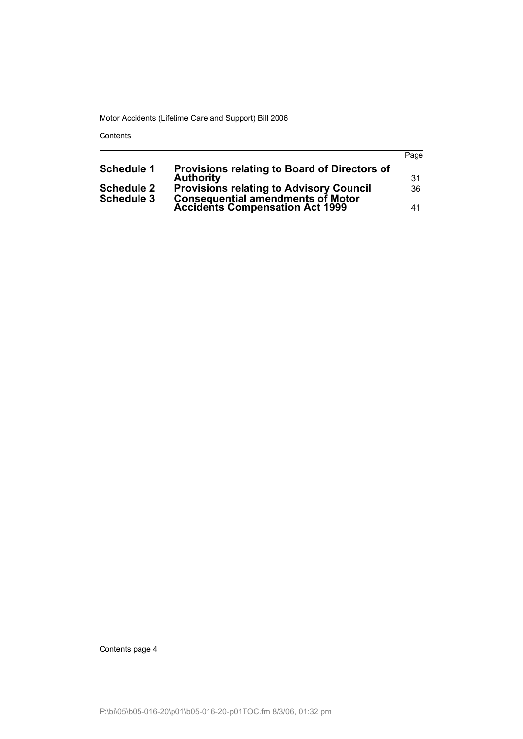Contents

|                   |                                                                              | Page |
|-------------------|------------------------------------------------------------------------------|------|
| <b>Schedule 1</b> | Provisions relating to Board of Directors of                                 |      |
|                   | <b>Authority</b>                                                             | 31   |
| <b>Schedule 2</b> | <b>Provisions relating to Advisory Council</b>                               | 36   |
| <b>Schedule 3</b> | <b>Consequential amendments of Motor<br/>Accidents Compensation Act 1999</b> | 41   |

Contents page 4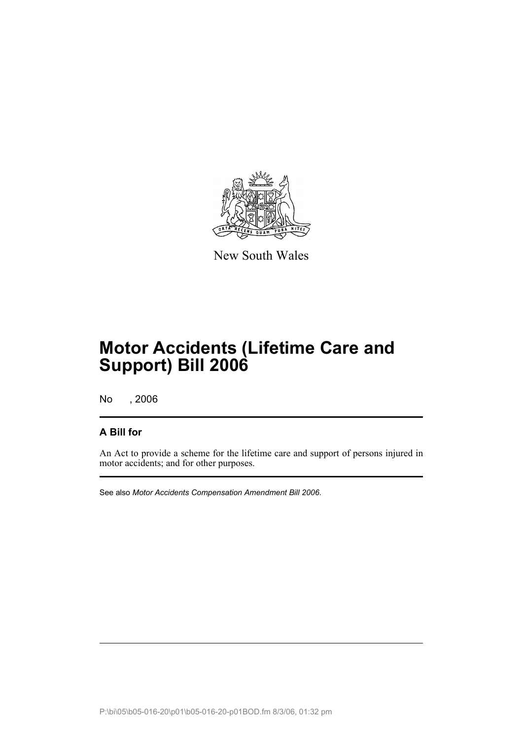

New South Wales

# **Motor Accidents (Lifetime Care and Support) Bill 2006**

No , 2006

## **A Bill for**

An Act to provide a scheme for the lifetime care and support of persons injured in motor accidents; and for other purposes.

See also *Motor Accidents Compensation Amendment Bill 2006*.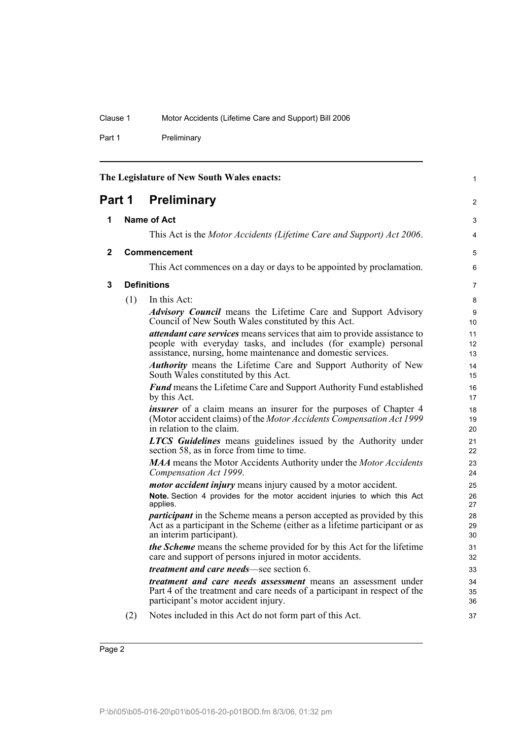Part 1 Preliminary

<span id="page-13-3"></span><span id="page-13-2"></span><span id="page-13-1"></span><span id="page-13-0"></span>

|              |     | The Legislature of New South Wales enacts:                                                                                                                                                                         | $\mathbf{1}$   |
|--------------|-----|--------------------------------------------------------------------------------------------------------------------------------------------------------------------------------------------------------------------|----------------|
| Part 1       |     | <b>Preliminary</b>                                                                                                                                                                                                 | $\overline{2}$ |
| 1            |     | <b>Name of Act</b>                                                                                                                                                                                                 | 3              |
|              |     | This Act is the Motor Accidents (Lifetime Care and Support) Act 2006.                                                                                                                                              | 4              |
| $\mathbf{2}$ |     | <b>Commencement</b>                                                                                                                                                                                                | 5              |
|              |     | This Act commences on a day or days to be appointed by proclamation.                                                                                                                                               | 6              |
| 3            |     | <b>Definitions</b>                                                                                                                                                                                                 | $\overline{7}$ |
|              | (1) | In this Act:                                                                                                                                                                                                       | 8              |
|              |     | <b>Advisory Council</b> means the Lifetime Care and Support Advisory<br>Council of New South Wales constituted by this Act.                                                                                        | 9<br>10        |
|              |     | <i>attendant care services</i> means services that aim to provide assistance to<br>people with everyday tasks, and includes (for example) personal<br>assistance, nursing, home maintenance and domestic services. | 11<br>12<br>13 |
|              |     | <b>Authority</b> means the Lifetime Care and Support Authority of New<br>South Wales constituted by this Act.                                                                                                      | 14<br>15       |
|              |     | <b>Fund</b> means the Lifetime Care and Support Authority Fund established<br>by this Act.                                                                                                                         | 16<br>17       |
|              |     | <i>insurer</i> of a claim means an insurer for the purposes of Chapter 4<br>(Motor accident claims) of the Motor Accidents Compensation Act 1999<br>in relation to the claim.                                      | 18<br>19<br>20 |
|              |     | <b>LTCS Guidelines</b> means guidelines issued by the Authority under<br>section 58, as in force from time to time.                                                                                                | 21<br>22       |
|              |     | <b>MAA</b> means the Motor Accidents Authority under the Motor Accidents<br>Compensation Act 1999.                                                                                                                 | 23<br>24       |
|              |     | <i>motor accident injury</i> means injury caused by a motor accident.                                                                                                                                              | 25             |
|              |     | Note. Section 4 provides for the motor accident injuries to which this Act<br>applies.                                                                                                                             | 26<br>27       |
|              |     | <i>participant</i> in the Scheme means a person accepted as provided by this<br>Act as a participant in the Scheme (either as a lifetime participant or as<br>an interim participant).                             | 28<br>29<br>30 |
|              |     | the Scheme means the scheme provided for by this Act for the lifetime<br>care and support of persons injured in motor accidents.                                                                                   | 31<br>32       |
|              |     | <i>treatment and care needs</i> —see section 6.                                                                                                                                                                    | 33             |
|              |     | <i>treatment and care needs assessment</i> means an assessment under<br>Part 4 of the treatment and care needs of a participant in respect of the<br>participant's motor accident injury.                          | 34<br>35<br>36 |
|              | (2) | Notes included in this Act do not form part of this Act.                                                                                                                                                           | 37             |
|              |     |                                                                                                                                                                                                                    |                |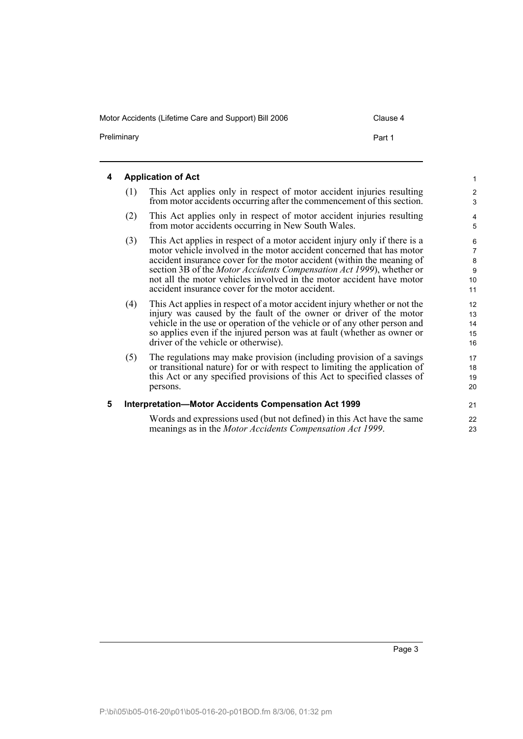Motor Accidents (Lifetime Care and Support) Bill 2006 Clause 4

<span id="page-14-1"></span><span id="page-14-0"></span>

| 4 |     | <b>Application of Act</b>                                                                                                                                                                                                                                                                                                                                                                                                        | 1                                               |
|---|-----|----------------------------------------------------------------------------------------------------------------------------------------------------------------------------------------------------------------------------------------------------------------------------------------------------------------------------------------------------------------------------------------------------------------------------------|-------------------------------------------------|
|   | (1) | This Act applies only in respect of motor accident injuries resulting<br>from motor accidents occurring after the commencement of this section.                                                                                                                                                                                                                                                                                  | $\overline{c}$<br>$\mathsf 3$                   |
|   | (2) | This Act applies only in respect of motor accident injuries resulting<br>from motor accidents occurring in New South Wales.                                                                                                                                                                                                                                                                                                      | $\overline{\mathbf{4}}$<br>5                    |
|   | (3) | This Act applies in respect of a motor accident injury only if there is a<br>motor vehicle involved in the motor accident concerned that has motor<br>accident insurance cover for the motor accident (within the meaning of<br>section 3B of the Motor Accidents Compensation Act 1999), whether or<br>not all the motor vehicles involved in the motor accident have motor<br>accident insurance cover for the motor accident. | $\,6$<br>$\boldsymbol{7}$<br>8<br>9<br>10<br>11 |
|   | (4) | This Act applies in respect of a motor accident injury whether or not the<br>injury was caused by the fault of the owner or driver of the motor<br>vehicle in the use or operation of the vehicle or of any other person and<br>so applies even if the injured person was at fault (whether as owner or<br>driver of the vehicle or otherwise).                                                                                  | 12<br>13<br>14<br>15<br>16                      |
|   | (5) | The regulations may make provision (including provision of a savings<br>or transitional nature) for or with respect to limiting the application of<br>this Act or any specified provisions of this Act to specified classes of<br>persons.                                                                                                                                                                                       | 17<br>18<br>19<br>20                            |
| 5 |     | <b>Interpretation-Motor Accidents Compensation Act 1999</b>                                                                                                                                                                                                                                                                                                                                                                      | 21                                              |
|   |     | Words and expressions used (but not defined) in this Act have the same<br>meanings as in the Motor Accidents Compensation Act 1999.                                                                                                                                                                                                                                                                                              | 22<br>23                                        |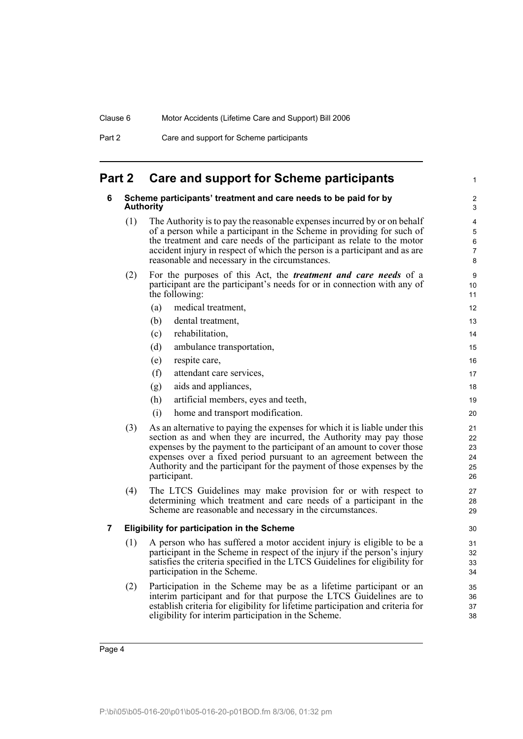| Part 2 | Care and support for Scheme participants |  |
|--------|------------------------------------------|--|
|--------|------------------------------------------|--|

## <span id="page-15-1"></span><span id="page-15-0"></span>**Part 2 Care and support for Scheme participants**

## **6 Scheme participants' treatment and care needs to be paid for by Authority**

(1) The Authority is to pay the reasonable expenses incurred by or on behalf of a person while a participant in the Scheme in providing for such of the treatment and care needs of the participant as relate to the motor accident injury in respect of which the person is a participant and as are reasonable and necessary in the circumstances.

| (2) | For the purposes of this Act, the <i>treatment and care needs</i> of a   |
|-----|--------------------------------------------------------------------------|
|     | participant are the participant's needs for or in connection with any of |
|     | the following:                                                           |

(a) medical treatment, (b) dental treatment, (c) rehabilitation,

1

- (d) ambulance transportation, (e) respite care,
	- (f) attendant care services,
	- (g) aids and appliances,
	- (h) artificial members, eyes and teeth,
	- (i) home and transport modification.
- (3) As an alternative to paying the expenses for which it is liable under this section as and when they are incurred, the Authority may pay those expenses by the payment to the participant of an amount to cover those expenses over a fixed period pursuant to an agreement between the Authority and the participant for the payment of those expenses by the participant.
- (4) The LTCS Guidelines may make provision for or with respect to determining which treatment and care needs of a participant in the Scheme are reasonable and necessary in the circumstances.

### <span id="page-15-2"></span>**7 Eligibility for participation in the Scheme**

- (1) A person who has suffered a motor accident injury is eligible to be a participant in the Scheme in respect of the injury if the person's injury satisfies the criteria specified in the LTCS Guidelines for eligibility for participation in the Scheme.
- (2) Participation in the Scheme may be as a lifetime participant or an interim participant and for that purpose the LTCS Guidelines are to establish criteria for eligibility for lifetime participation and criteria for eligibility for interim participation in the Scheme.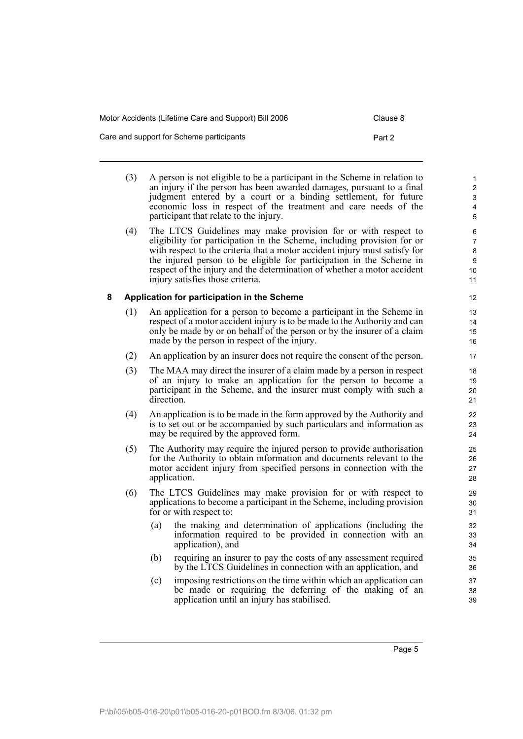Motor Accidents (Lifetime Care and Support) Bill 2006 Clause 8

<span id="page-16-0"></span>(3) A person is not eligible to be a participant in the Scheme in relation to an injury if the person has been awarded damages, pursuant to a final judgment entered by a court or a binding settlement, for future economic loss in respect of the treatment and care needs of the participant that relate to the injury. (4) The LTCS Guidelines may make provision for or with respect to eligibility for participation in the Scheme, including provision for or with respect to the criteria that a motor accident injury must satisfy for the injured person to be eligible for participation in the Scheme in respect of the injury and the determination of whether a motor accident injury satisfies those criteria. **8 Application for participation in the Scheme** (1) An application for a person to become a participant in the Scheme in respect of a motor accident injury is to be made to the Authority and can only be made by or on behalf of the person or by the insurer of a claim made by the person in respect of the injury. (2) An application by an insurer does not require the consent of the person. (3) The MAA may direct the insurer of a claim made by a person in respect of an injury to make an application for the person to become a participant in the Scheme, and the insurer must comply with such a direction. (4) An application is to be made in the form approved by the Authority and is to set out or be accompanied by such particulars and information as may be required by the approved form. (5) The Authority may require the injured person to provide authorisation for the Authority to obtain information and documents relevant to the motor accident injury from specified persons in connection with the application. (6) The LTCS Guidelines may make provision for or with respect to applications to become a participant in the Scheme, including provision for or with respect to: (a) the making and determination of applications (including the information required to be provided in connection with an application), and (b) requiring an insurer to pay the costs of any assessment required by the LTCS Guidelines in connection with an application, and (c) imposing restrictions on the time within which an application can be made or requiring the deferring of the making of an application until an injury has stabilised.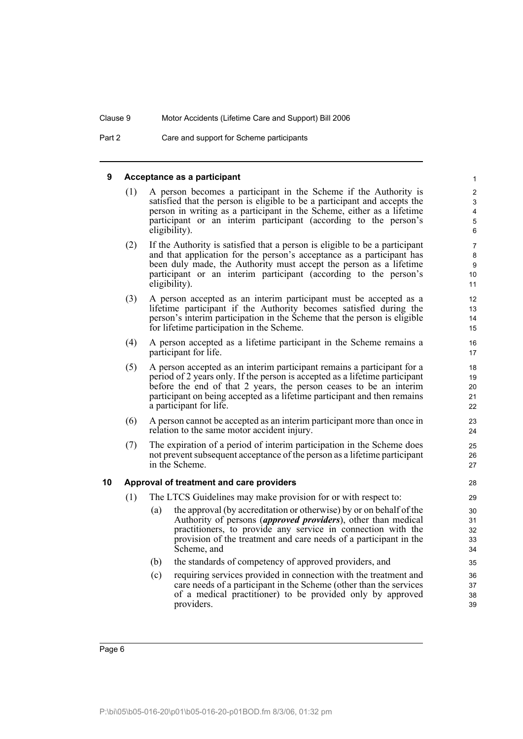Part 2 Care and support for Scheme participants

#### <span id="page-17-0"></span>**9 Acceptance as a participant**

- (1) A person becomes a participant in the Scheme if the Authority is satisfied that the person is eligible to be a participant and accepts the person in writing as a participant in the Scheme, either as a lifetime participant or an interim participant (according to the person's eligibility).
- (2) If the Authority is satisfied that a person is eligible to be a participant and that application for the person's acceptance as a participant has been duly made, the Authority must accept the person as a lifetime participant or an interim participant (according to the person's eligibility).
- (3) A person accepted as an interim participant must be accepted as a lifetime participant if the Authority becomes satisfied during the person's interim participation in the Scheme that the person is eligible for lifetime participation in the Scheme.
- (4) A person accepted as a lifetime participant in the Scheme remains a participant for life.
- (5) A person accepted as an interim participant remains a participant for a period of 2 years only. If the person is accepted as a lifetime participant before the end of that 2 years, the person ceases to be an interim participant on being accepted as a lifetime participant and then remains a participant for life.
- (6) A person cannot be accepted as an interim participant more than once in relation to the same motor accident injury.
- (7) The expiration of a period of interim participation in the Scheme does not prevent subsequent acceptance of the person as a lifetime participant in the Scheme.

#### <span id="page-17-1"></span>**10 Approval of treatment and care providers**

- (1) The LTCS Guidelines may make provision for or with respect to:
	- (a) the approval (by accreditation or otherwise) by or on behalf of the Authority of persons (*approved providers*), other than medical practitioners, to provide any service in connection with the provision of the treatment and care needs of a participant in the Scheme, and
	- (b) the standards of competency of approved providers, and
	- (c) requiring services provided in connection with the treatment and care needs of a participant in the Scheme (other than the services of a medical practitioner) to be provided only by approved providers.

Page 6

P:\bi\05\b05-016-20\p01\b05-016-20-p01BOD.fm 8/3/06, 01:32 pm

28 29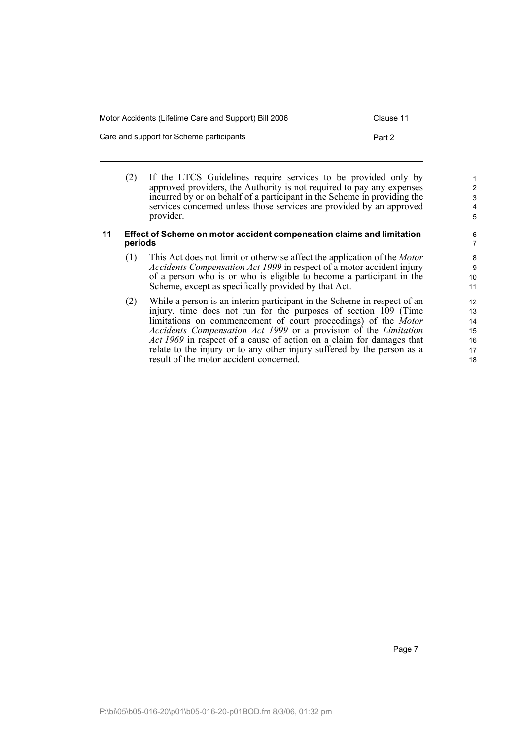| Motor Accidents (Lifetime Care and Support) Bill 2006 | Clause 11 |
|-------------------------------------------------------|-----------|
| Care and support for Scheme participants              | Part 2    |

(2) If the LTCS Guidelines require services to be provided only by approved providers, the Authority is not required to pay any expenses incurred by or on behalf of a participant in the Scheme in providing the services concerned unless those services are provided by an approved provider.

#### <span id="page-18-0"></span>**11 Effect of Scheme on motor accident compensation claims and limitation periods**

- (1) This Act does not limit or otherwise affect the application of the *Motor Accidents Compensation Act 1999* in respect of a motor accident injury of a person who is or who is eligible to become a participant in the Scheme, except as specifically provided by that Act.
- (2) While a person is an interim participant in the Scheme in respect of an injury, time does not run for the purposes of section 109 (Time limitations on commencement of court proceedings) of the *Motor Accidents Compensation Act 1999* or a provision of the *Limitation Act 1969* in respect of a cause of action on a claim for damages that relate to the injury or to any other injury suffered by the person as a result of the motor accident concerned.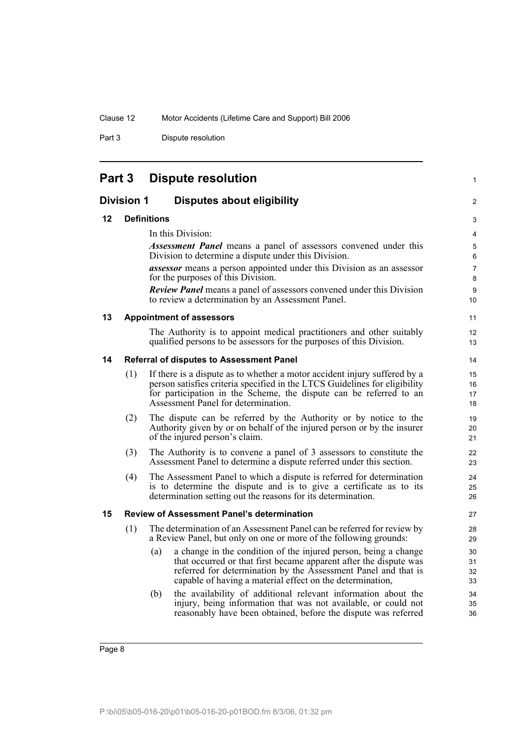Part 3 Dispute resolution

| Part 3<br><b>Dispute resolution</b> |
|-------------------------------------|
|-------------------------------------|

<span id="page-19-5"></span><span id="page-19-4"></span><span id="page-19-3"></span><span id="page-19-2"></span><span id="page-19-1"></span><span id="page-19-0"></span>

| <b>Division 1</b><br><b>Disputes about eligibility</b> |     |                                                                                                                                                                                                                                                                            | 2                    |
|--------------------------------------------------------|-----|----------------------------------------------------------------------------------------------------------------------------------------------------------------------------------------------------------------------------------------------------------------------------|----------------------|
| 12                                                     |     | <b>Definitions</b>                                                                                                                                                                                                                                                         | 3                    |
|                                                        |     | In this Division:                                                                                                                                                                                                                                                          | 4                    |
|                                                        |     | <b>Assessment Panel</b> means a panel of assessors convened under this<br>Division to determine a dispute under this Division.                                                                                                                                             | 5<br>6               |
|                                                        |     | assessor means a person appointed under this Division as an assessor<br>for the purposes of this Division.                                                                                                                                                                 | $\overline{7}$<br>8  |
|                                                        |     | <b>Review Panel</b> means a panel of assessors convened under this Division<br>to review a determination by an Assessment Panel.                                                                                                                                           | 9<br>10              |
| 13                                                     |     | <b>Appointment of assessors</b>                                                                                                                                                                                                                                            | 11                   |
|                                                        |     | The Authority is to appoint medical practitioners and other suitably<br>qualified persons to be assessors for the purposes of this Division.                                                                                                                               | 12<br>13             |
| 14                                                     |     | Referral of disputes to Assessment Panel                                                                                                                                                                                                                                   | 14                   |
|                                                        | (1) | If there is a dispute as to whether a motor accident injury suffered by a<br>person satisfies criteria specified in the LTCS Guidelines for eligibility<br>for participation in the Scheme, the dispute can be referred to an<br>Assessment Panel for determination.       | 15<br>16<br>17<br>18 |
|                                                        | (2) | The dispute can be referred by the Authority or by notice to the<br>Authority given by or on behalf of the injured person or by the insurer<br>of the injured person's claim.                                                                                              | 19<br>20<br>21       |
|                                                        | (3) | The Authority is to convene a panel of 3 assessors to constitute the<br>Assessment Panel to determine a dispute referred under this section.                                                                                                                               | 22<br>23             |
|                                                        | (4) | The Assessment Panel to which a dispute is referred for determination<br>is to determine the dispute and is to give a certificate as to its<br>determination setting out the reasons for its determination.                                                                | 24<br>25<br>26       |
| 15                                                     |     | <b>Review of Assessment Panel's determination</b>                                                                                                                                                                                                                          | 27                   |
|                                                        | (1) | The determination of an Assessment Panel can be referred for review by<br>a Review Panel, but only on one or more of the following grounds:                                                                                                                                | 28<br>29             |
|                                                        |     | a change in the condition of the injured person, being a change<br>(a)<br>that occurred or that first became apparent after the dispute was<br>referred for determination by the Assessment Panel and that is<br>capable of having a material effect on the determination, | 30<br>31<br>32<br>33 |
|                                                        |     | the availability of additional relevant information about the<br>(b)<br>injury, being information that was not available, or could not<br>reasonably have been obtained, before the dispute was referred                                                                   | 34<br>35<br>36       |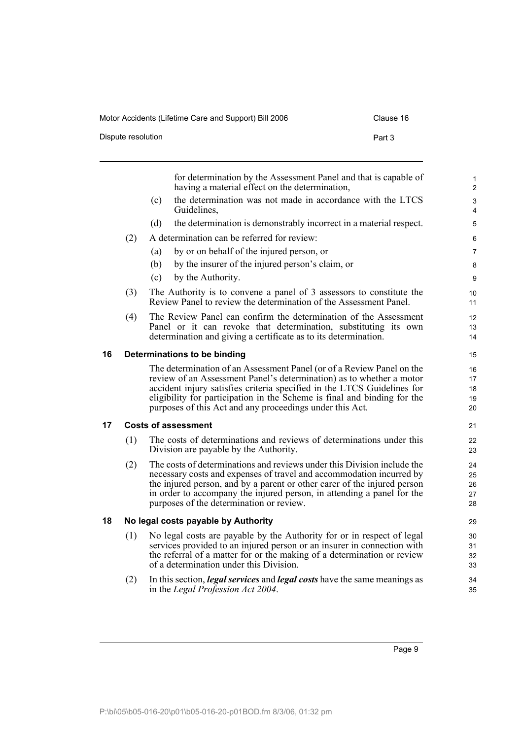Motor Accidents (Lifetime Care and Support) Bill 2006 Clause 16

| Dispute resolution | Part 3 |
|--------------------|--------|
|                    |        |

<span id="page-20-2"></span><span id="page-20-1"></span><span id="page-20-0"></span>for determination by the Assessment Panel and that is capable of having a material effect on the determination, (c) the determination was not made in accordance with the LTCS Guidelines, (d) the determination is demonstrably incorrect in a material respect. (2) A determination can be referred for review: (a) by or on behalf of the injured person, or (b) by the insurer of the injured person's claim, or (c) by the Authority. (3) The Authority is to convene a panel of 3 assessors to constitute the Review Panel to review the determination of the Assessment Panel. (4) The Review Panel can confirm the determination of the Assessment Panel or it can revoke that determination, substituting its own determination and giving a certificate as to its determination. **16 Determinations to be binding** The determination of an Assessment Panel (or of a Review Panel on the review of an Assessment Panel's determination) as to whether a motor accident injury satisfies criteria specified in the LTCS Guidelines for eligibility for participation in the Scheme is final and binding for the purposes of this Act and any proceedings under this Act. **17 Costs of assessment** (1) The costs of determinations and reviews of determinations under this Division are payable by the Authority. (2) The costs of determinations and reviews under this Division include the necessary costs and expenses of travel and accommodation incurred by the injured person, and by a parent or other carer of the injured person in order to accompany the injured person, in attending a panel for the purposes of the determination or review. **18 No legal costs payable by Authority** (1) No legal costs are payable by the Authority for or in respect of legal services provided to an injured person or an insurer in connection with the referral of a matter for or the making of a determination or review of a determination under this Division. (2) In this section, *legal services* and *legal costs* have the same meanings as in the *Legal Profession Act 2004*. 1  $\overline{2}$ 3 4 5 6 7 8 9 10 11 12 13 14 15 16 17 18 19 20 21  $22$ 23 24 25 26 27 28 29 30 31  $32$ 33 34 35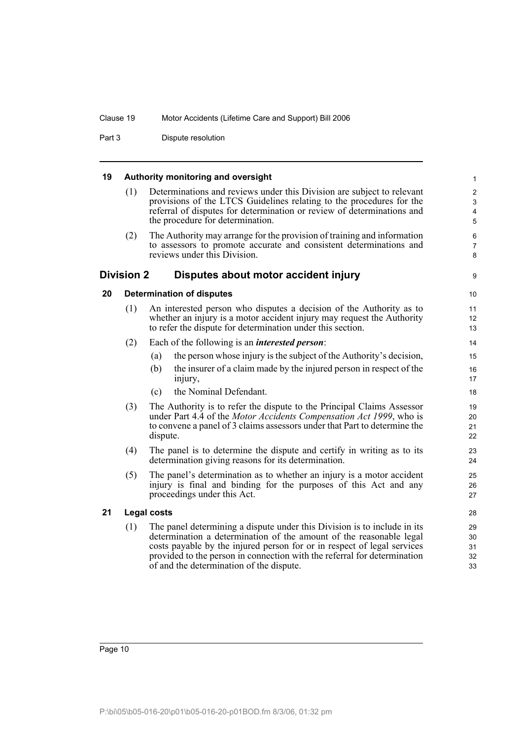Part 3 Dispute resolution

#### <span id="page-21-0"></span>**19 Authority monitoring and oversight**

(1) Determinations and reviews under this Division are subject to relevant provisions of the LTCS Guidelines relating to the procedures for the referral of disputes for determination or review of determinations and the procedure for determination.

**9** 

(2) The Authority may arrange for the provision of training and information to assessors to promote accurate and consistent determinations and reviews under this Division.

#### <span id="page-21-1"></span>**Division 2 Disputes about motor accident injury**

#### <span id="page-21-2"></span>**20 Determination of disputes**

- (1) An interested person who disputes a decision of the Authority as to whether an injury is a motor accident injury may request the Authority to refer the dispute for determination under this section.
- (2) Each of the following is an *interested person*:
	- (a) the person whose injury is the subject of the Authority's decision,
	- (b) the insurer of a claim made by the injured person in respect of the injury,
	- (c) the Nominal Defendant.
- (3) The Authority is to refer the dispute to the Principal Claims Assessor under Part 4.4 of the *Motor Accidents Compensation Act 1999*, who is to convene a panel of 3 claims assessors under that Part to determine the dispute.
- (4) The panel is to determine the dispute and certify in writing as to its determination giving reasons for its determination.
- (5) The panel's determination as to whether an injury is a motor accident injury is final and binding for the purposes of this Act and any proceedings under this Act.

#### <span id="page-21-3"></span>**21 Legal costs**

(1) The panel determining a dispute under this Division is to include in its determination a determination of the amount of the reasonable legal costs payable by the injured person for or in respect of legal services provided to the person in connection with the referral for determination of and the determination of the dispute.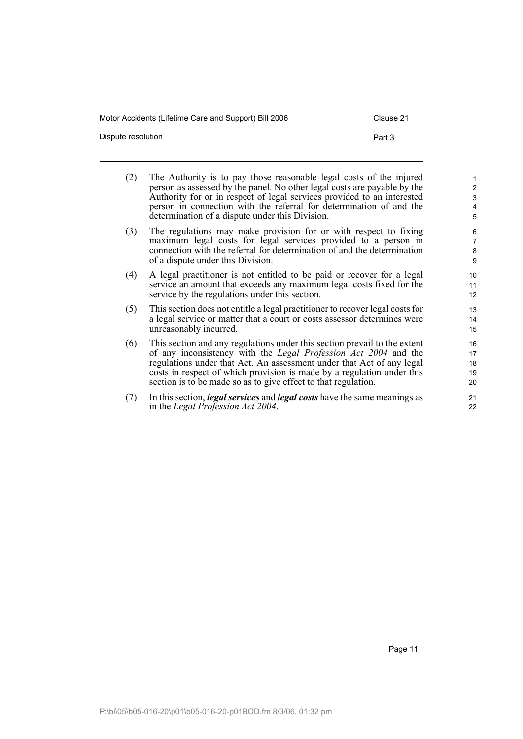Motor Accidents (Lifetime Care and Support) Bill 2006 Clause 21

Dispute resolution **Part 3** 

- (2) The Authority is to pay those reasonable legal costs of the injured person as assessed by the panel. No other legal costs are payable by the Authority for or in respect of legal services provided to an interested person in connection with the referral for determination of and the determination of a dispute under this Division.
- (3) The regulations may make provision for or with respect to fixing maximum legal costs for legal services provided to a person in connection with the referral for determination of and the determination of a dispute under this Division.
- (4) A legal practitioner is not entitled to be paid or recover for a legal service an amount that exceeds any maximum legal costs fixed for the service by the regulations under this section.
- (5) This section does not entitle a legal practitioner to recover legal costs for a legal service or matter that a court or costs assessor determines were unreasonably incurred.
- (6) This section and any regulations under this section prevail to the extent of any inconsistency with the *Legal Profession Act 2004* and the regulations under that Act. An assessment under that Act of any legal costs in respect of which provision is made by a regulation under this section is to be made so as to give effect to that regulation.
- (7) In this section, *legal services* and *legal costs* have the same meanings as in the *Legal Profession Act 2004*.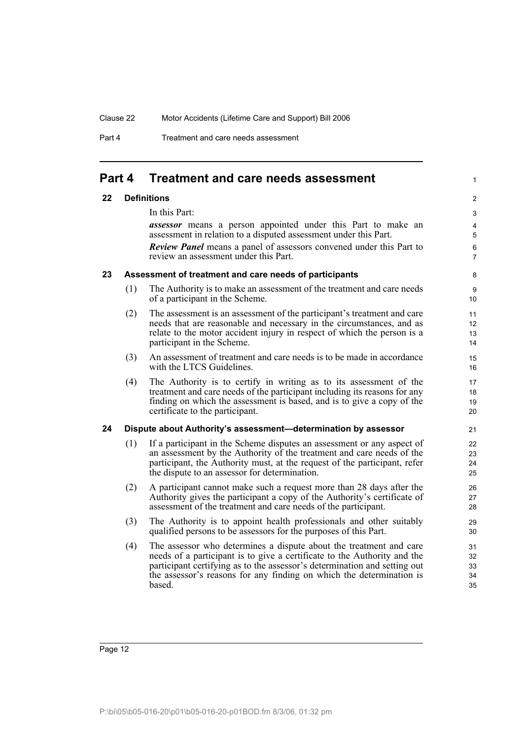Part 4 Treatment and care needs assessment

## <span id="page-23-0"></span>**Part 4 Treatment and care needs assessment**

#### <span id="page-23-1"></span>**22 Definitions**

In this Part:

*assessor* means a person appointed under this Part to make an assessment in relation to a disputed assessment under this Part. *Review Panel* means a panel of assessors convened under this Part to review an assessment under this Part.

1

#### <span id="page-23-2"></span>**23 Assessment of treatment and care needs of participants**

- (1) The Authority is to make an assessment of the treatment and care needs of a participant in the Scheme.
- (2) The assessment is an assessment of the participant's treatment and care needs that are reasonable and necessary in the circumstances, and as relate to the motor accident injury in respect of which the person is a participant in the Scheme.
- (3) An assessment of treatment and care needs is to be made in accordance with the LTCS Guidelines.
- (4) The Authority is to certify in writing as to its assessment of the treatment and care needs of the participant including its reasons for any finding on which the assessment is based, and is to give a copy of the certificate to the participant.

#### <span id="page-23-3"></span>**24 Dispute about Authority's assessment—determination by assessor**

- (1) If a participant in the Scheme disputes an assessment or any aspect of an assessment by the Authority of the treatment and care needs of the participant, the Authority must, at the request of the participant, refer the dispute to an assessor for determination.
- (2) A participant cannot make such a request more than 28 days after the Authority gives the participant a copy of the Authority's certificate of assessment of the treatment and care needs of the participant.
- (3) The Authority is to appoint health professionals and other suitably qualified persons to be assessors for the purposes of this Part.
- (4) The assessor who determines a dispute about the treatment and care needs of a participant is to give a certificate to the Authority and the participant certifying as to the assessor's determination and setting out the assessor's reasons for any finding on which the determination is based.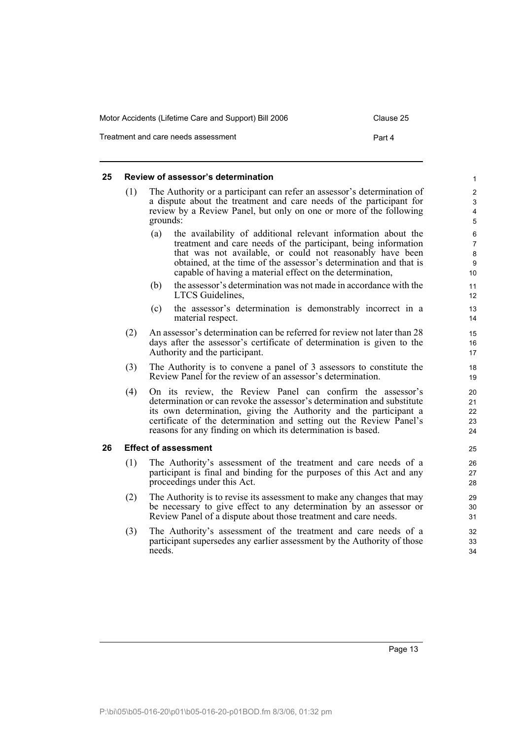#### <span id="page-24-0"></span>**25 Review of assessor's determination**

- (1) The Authority or a participant can refer an assessor's determination of a dispute about the treatment and care needs of the participant for review by a Review Panel, but only on one or more of the following grounds:
	- (a) the availability of additional relevant information about the treatment and care needs of the participant, being information that was not available, or could not reasonably have been obtained, at the time of the assessor's determination and that is capable of having a material effect on the determination,
	- (b) the assessor's determination was not made in accordance with the LTCS Guidelines,
	- (c) the assessor's determination is demonstrably incorrect in a material respect.
- (2) An assessor's determination can be referred for review not later than 28 days after the assessor's certificate of determination is given to the Authority and the participant.
- (3) The Authority is to convene a panel of 3 assessors to constitute the Review Panel for the review of an assessor's determination.
- (4) On its review, the Review Panel can confirm the assessor's determination or can revoke the assessor's determination and substitute its own determination, giving the Authority and the participant a certificate of the determination and setting out the Review Panel's reasons for any finding on which its determination is based.

#### <span id="page-24-1"></span>**26 Effect of assessment**

- (1) The Authority's assessment of the treatment and care needs of a participant is final and binding for the purposes of this Act and any proceedings under this Act.
- (2) The Authority is to revise its assessment to make any changes that may be necessary to give effect to any determination by an assessor or Review Panel of a dispute about those treatment and care needs.
- (3) The Authority's assessment of the treatment and care needs of a participant supersedes any earlier assessment by the Authority of those needs.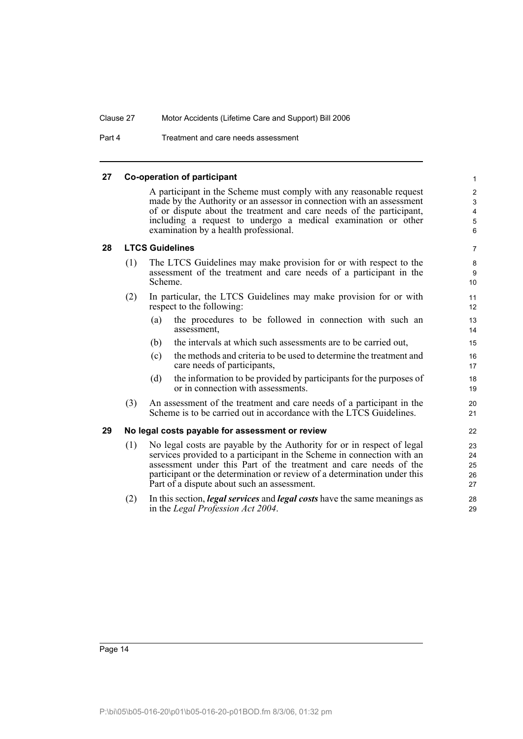Part 4 Treatment and care needs assessment

#### <span id="page-25-0"></span>**27 Co-operation of participant**

A participant in the Scheme must comply with any reasonable request made by the Authority or an assessor in connection with an assessment of or dispute about the treatment and care needs of the participant, including a request to undergo a medical examination or other examination by a health professional.

#### <span id="page-25-1"></span>**28 LTCS Guidelines**

- (1) The LTCS Guidelines may make provision for or with respect to the assessment of the treatment and care needs of a participant in the Scheme.
- (2) In particular, the LTCS Guidelines may make provision for or with respect to the following:
	- (a) the procedures to be followed in connection with such an assessment,
	- (b) the intervals at which such assessments are to be carried out,
	- (c) the methods and criteria to be used to determine the treatment and care needs of participants,
	- (d) the information to be provided by participants for the purposes of or in connection with assessments.
- (3) An assessment of the treatment and care needs of a participant in the Scheme is to be carried out in accordance with the LTCS Guidelines.

#### <span id="page-25-2"></span>**29 No legal costs payable for assessment or review**

- (1) No legal costs are payable by the Authority for or in respect of legal services provided to a participant in the Scheme in connection with an assessment under this Part of the treatment and care needs of the participant or the determination or review of a determination under this Part of a dispute about such an assessment.
- (2) In this section, *legal services* and *legal costs* have the same meanings as in the *Legal Profession Act 2004*.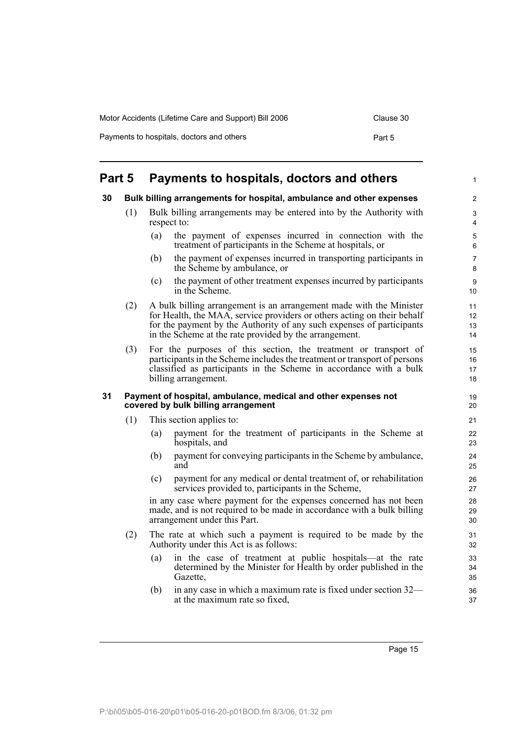| Motor Accidents (Lifetime Care and Support) Bill 2006 | Clause 30 |
|-------------------------------------------------------|-----------|
| Payments to hospitals, doctors and others             | Part 5    |

# <span id="page-26-0"></span>**Part 5 Payments to hospitals, doctors and others**

# <span id="page-26-1"></span>**30 Bulk billing arrangements for hospital, ambulance and other expenses**

- (1) Bulk billing arrangements may be entered into by the Authority with respect to:
	- (a) the payment of expenses incurred in connection with the treatment of participants in the Scheme at hospitals, or
	- (b) the payment of expenses incurred in transporting participants in the Scheme by ambulance, or
	- (c) the payment of other treatment expenses incurred by participants in the Scheme.
- (2) A bulk billing arrangement is an arrangement made with the Minister for Health, the MAA, service providers or others acting on their behalf for the payment by the Authority of any such expenses of participants in the Scheme at the rate provided by the arrangement.
- (3) For the purposes of this section, the treatment or transport of participants in the Scheme includes the treatment or transport of persons classified as participants in the Scheme in accordance with a bulk billing arrangement.

#### <span id="page-26-2"></span>**31 Payment of hospital, ambulance, medical and other expenses not covered by bulk billing arrangement**

- (1) This section applies to:
	- (a) payment for the treatment of participants in the Scheme at hospitals, and
	- (b) payment for conveying participants in the Scheme by ambulance, and
	- (c) payment for any medical or dental treatment of, or rehabilitation services provided to, participants in the Scheme,

in any case where payment for the expenses concerned has not been made, and is not required to be made in accordance with a bulk billing arrangement under this Part.

- (2) The rate at which such a payment is required to be made by the Authority under this Act is as follows:
	- (a) in the case of treatment at public hospitals—at the rate determined by the Minister for Health by order published in the Gazette,
	- (b) in any case in which a maximum rate is fixed under section 32 at the maximum rate so fixed,

Page 15

1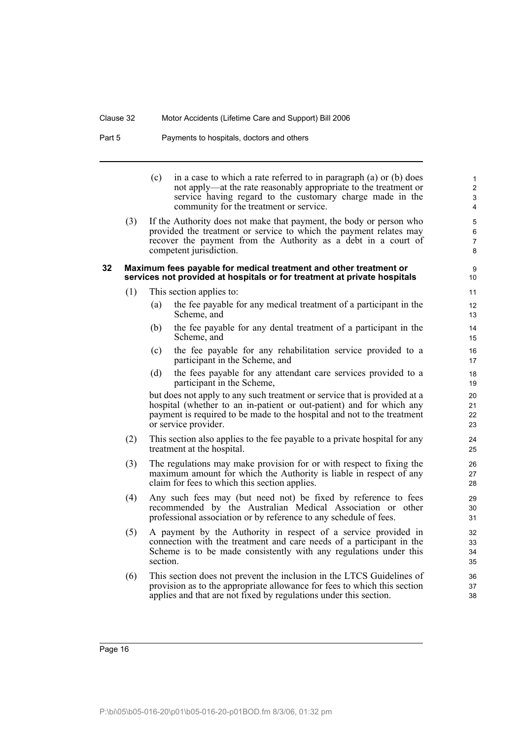Part 5 Payments to hospitals, doctors and others

(c) in a case to which a rate referred to in paragraph (a) or (b) does not apply—at the rate reasonably appropriate to the treatment or service having regard to the customary charge made in the community for the treatment or service.

(3) If the Authority does not make that payment, the body or person who provided the treatment or service to which the payment relates may recover the payment from the Authority as a debt in a court of competent jurisdiction.

#### <span id="page-27-0"></span>**32 Maximum fees payable for medical treatment and other treatment or services not provided at hospitals or for treatment at private hospitals**

- (1) This section applies to:
	- (a) the fee payable for any medical treatment of a participant in the Scheme, and
	- (b) the fee payable for any dental treatment of a participant in the Scheme, and
	- (c) the fee payable for any rehabilitation service provided to a participant in the Scheme, and
	- (d) the fees payable for any attendant care services provided to a participant in the Scheme,

but does not apply to any such treatment or service that is provided at a hospital (whether to an in-patient or out-patient) and for which any payment is required to be made to the hospital and not to the treatment or service provider.

- (2) This section also applies to the fee payable to a private hospital for any treatment at the hospital.
- (3) The regulations may make provision for or with respect to fixing the maximum amount for which the Authority is liable in respect of any claim for fees to which this section applies.
- (4) Any such fees may (but need not) be fixed by reference to fees recommended by the Australian Medical Association or other professional association or by reference to any schedule of fees.
- (5) A payment by the Authority in respect of a service provided in connection with the treatment and care needs of a participant in the Scheme is to be made consistently with any regulations under this section.
- (6) This section does not prevent the inclusion in the LTCS Guidelines of provision as to the appropriate allowance for fees to which this section applies and that are not fixed by regulations under this section.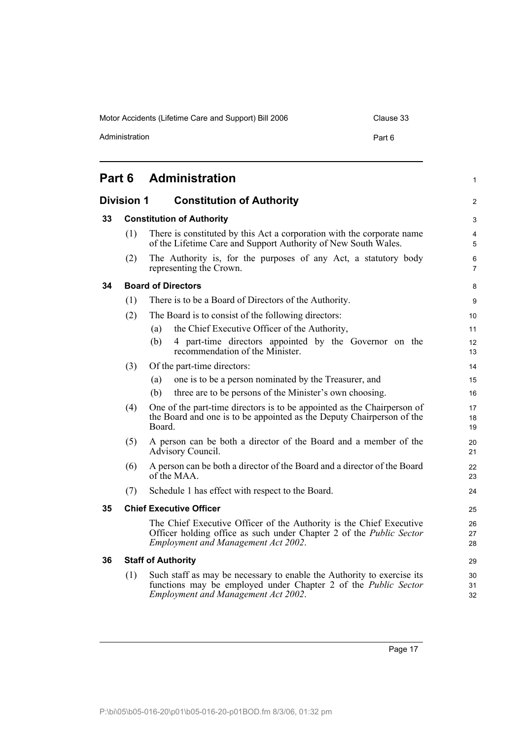Motor Accidents (Lifetime Care and Support) Bill 2006 Clause 33

Administration **Part 6** 

<span id="page-28-5"></span><span id="page-28-4"></span><span id="page-28-3"></span><span id="page-28-2"></span><span id="page-28-1"></span><span id="page-28-0"></span>

| Part 6 |                   | Administration                                                                                                                                                                                  | $\mathbf{1}$   |
|--------|-------------------|-------------------------------------------------------------------------------------------------------------------------------------------------------------------------------------------------|----------------|
|        | <b>Division 1</b> | <b>Constitution of Authority</b>                                                                                                                                                                | 2              |
| 33     |                   | <b>Constitution of Authority</b>                                                                                                                                                                | 3              |
|        | (1)               | There is constituted by this Act a corporation with the corporate name<br>of the Lifetime Care and Support Authority of New South Wales.                                                        | 4<br>5         |
|        | (2)               | The Authority is, for the purposes of any Act, a statutory body<br>representing the Crown.                                                                                                      | 6<br>7         |
| 34     |                   | <b>Board of Directors</b>                                                                                                                                                                       | 8              |
|        | (1)               | There is to be a Board of Directors of the Authority.                                                                                                                                           | 9              |
|        | (2)               | The Board is to consist of the following directors:                                                                                                                                             | 10             |
|        |                   | the Chief Executive Officer of the Authority,<br>(a)                                                                                                                                            | 11             |
|        |                   | (b)<br>4 part-time directors appointed by the Governor on the<br>recommendation of the Minister.                                                                                                | 12<br>13       |
|        | (3)               | Of the part-time directors:                                                                                                                                                                     | 14             |
|        |                   | one is to be a person nominated by the Treasurer, and<br>(a)                                                                                                                                    | 15             |
|        |                   | three are to be persons of the Minister's own choosing.<br>(b)                                                                                                                                  | 16             |
|        | (4)               | One of the part-time directors is to be appointed as the Chairperson of<br>the Board and one is to be appointed as the Deputy Chairperson of the<br>Board.                                      | 17<br>18<br>19 |
|        | (5)               | A person can be both a director of the Board and a member of the<br>Advisory Council.                                                                                                           | 20<br>21       |
|        | (6)               | A person can be both a director of the Board and a director of the Board<br>of the MAA.                                                                                                         | 22<br>23       |
|        | (7)               | Schedule 1 has effect with respect to the Board.                                                                                                                                                | 24             |
| 35     |                   | <b>Chief Executive Officer</b>                                                                                                                                                                  | 25             |
|        |                   | The Chief Executive Officer of the Authority is the Chief Executive<br>Officer holding office as such under Chapter 2 of the <i>Public Sector</i><br><b>Employment and Management Act 2002.</b> | 26<br>27<br>28 |
| 36     |                   | <b>Staff of Authority</b>                                                                                                                                                                       | 29             |
|        | (1)               | Such staff as may be necessary to enable the Authority to exercise its<br>functions may be employed under Chapter 2 of the Public Sector<br><b>Employment and Management Act 2002.</b>          | 30<br>31<br>32 |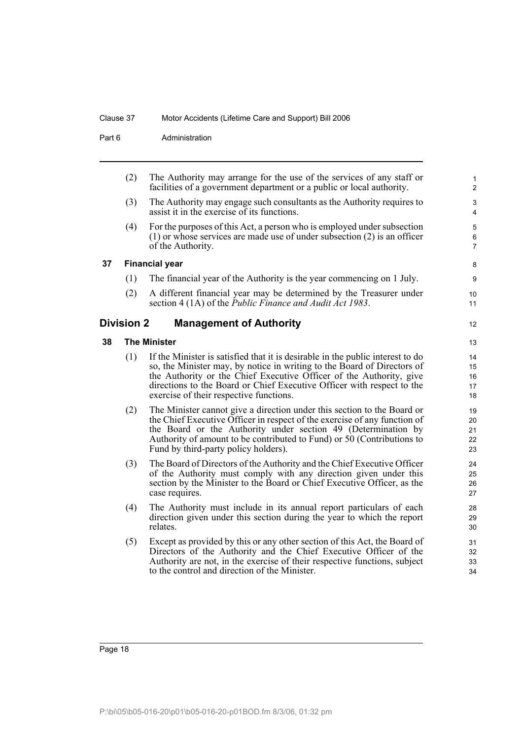Part 6 **Administration** 

<span id="page-29-2"></span><span id="page-29-1"></span><span id="page-29-0"></span>

|    | (2)               | The Authority may arrange for the use of the services of any staff or<br>facilities of a government department or a public or local authority.                                                                                                                                                                                                        | $\mathbf{1}$<br>$\overline{2}$     |
|----|-------------------|-------------------------------------------------------------------------------------------------------------------------------------------------------------------------------------------------------------------------------------------------------------------------------------------------------------------------------------------------------|------------------------------------|
|    | (3)               | The Authority may engage such consultants as the Authority requires to<br>assist it in the exercise of its functions.                                                                                                                                                                                                                                 | 3<br>$\overline{4}$                |
|    | (4)               | For the purposes of this Act, a person who is employed under subsection<br>$(1)$ or whose services are made use of under subsection $(2)$ is an officer<br>of the Authority.                                                                                                                                                                          | $\mathbf 5$<br>6<br>$\overline{7}$ |
| 37 |                   | <b>Financial year</b>                                                                                                                                                                                                                                                                                                                                 | 8                                  |
|    | (1)               | The financial year of the Authority is the year commencing on 1 July.                                                                                                                                                                                                                                                                                 | 9                                  |
|    | (2)               | A different financial year may be determined by the Treasurer under<br>section 4 (1A) of the <i>Public Finance and Audit Act 1983</i> .                                                                                                                                                                                                               | 10<br>11                           |
|    | <b>Division 2</b> | <b>Management of Authority</b>                                                                                                                                                                                                                                                                                                                        | 12                                 |
| 38 |                   | <b>The Minister</b>                                                                                                                                                                                                                                                                                                                                   | 13                                 |
|    | (1)               | If the Minister is satisfied that it is desirable in the public interest to do<br>so, the Minister may, by notice in writing to the Board of Directors of<br>the Authority or the Chief Executive Officer of the Authority, give<br>directions to the Board or Chief Executive Officer with respect to the<br>exercise of their respective functions. | 14<br>15<br>16<br>17<br>18         |
|    | (2)               | The Minister cannot give a direction under this section to the Board or<br>the Chief Executive Officer in respect of the exercise of any function of<br>the Board or the Authority under section 49 (Determination by<br>Authority of amount to be contributed to Fund) or 50 (Contributions to<br>Fund by third-party policy holders).               | 19<br>20<br>21<br>22<br>23         |
|    | (3)               | The Board of Directors of the Authority and the Chief Executive Officer<br>of the Authority must comply with any direction given under this<br>section by the Minister to the Board or Chief Executive Officer, as the<br>case requires.                                                                                                              | 24<br>25<br>26<br>27               |
|    | (4)               | The Authority must include in its annual report particulars of each<br>direction given under this section during the year to which the report<br>relates.                                                                                                                                                                                             | 28<br>29<br>30                     |
|    | (5)               | Except as provided by this or any other section of this Act, the Board of<br>Directors of the Authority and the Chief Executive Officer of the<br>Authority are not, in the exercise of their respective functions, subject<br>to the control and direction of the Minister.                                                                          | 31<br>32<br>33<br>34               |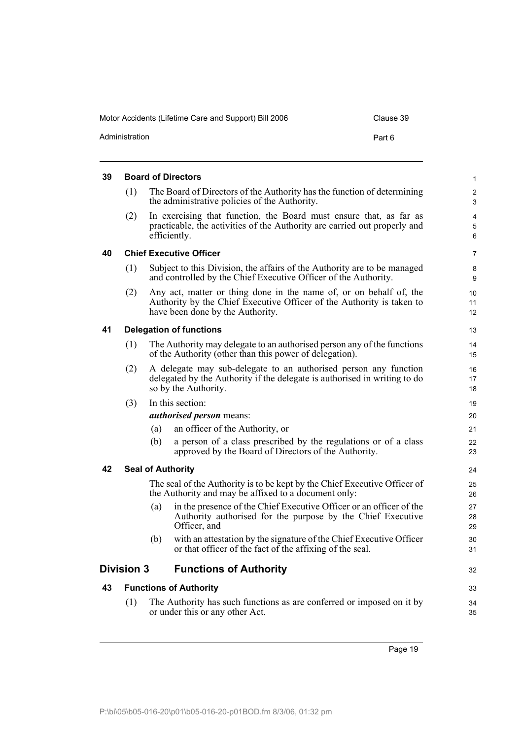<span id="page-30-5"></span><span id="page-30-4"></span><span id="page-30-3"></span><span id="page-30-2"></span><span id="page-30-1"></span><span id="page-30-0"></span>

| 39<br><b>Board of Directors</b><br>(1)<br>The Board of Directors of the Authority has the function of determining<br>the administrative policies of the Authority.<br>(2)<br>In exercising that function, the Board must ensure that, as far as<br>practicable, the activities of the Authority are carried out properly and<br>efficiently. |
|----------------------------------------------------------------------------------------------------------------------------------------------------------------------------------------------------------------------------------------------------------------------------------------------------------------------------------------------|
|                                                                                                                                                                                                                                                                                                                                              |
|                                                                                                                                                                                                                                                                                                                                              |
|                                                                                                                                                                                                                                                                                                                                              |
| <b>Chief Executive Officer</b><br>40                                                                                                                                                                                                                                                                                                         |
| Subject to this Division, the affairs of the Authority are to be managed<br>(1)<br>and controlled by the Chief Executive Officer of the Authority.                                                                                                                                                                                           |
| (2)<br>Any act, matter or thing done in the name of, or on behalf of, the<br>Authority by the Chief Executive Officer of the Authority is taken to<br>have been done by the Authority.                                                                                                                                                       |
| 41<br><b>Delegation of functions</b>                                                                                                                                                                                                                                                                                                         |
| The Authority may delegate to an authorised person any of the functions<br>(1)<br>of the Authority (other than this power of delegation).                                                                                                                                                                                                    |
| A delegate may sub-delegate to an authorised person any function<br>(2)<br>delegated by the Authority if the delegate is authorised in writing to do<br>so by the Authority.                                                                                                                                                                 |
| (3)<br>In this section:                                                                                                                                                                                                                                                                                                                      |
| <i>authorised person</i> means:                                                                                                                                                                                                                                                                                                              |
| an officer of the Authority, or<br>(a)                                                                                                                                                                                                                                                                                                       |
| a person of a class prescribed by the regulations or of a class<br>(b)<br>approved by the Board of Directors of the Authority.                                                                                                                                                                                                               |
| 42<br><b>Seal of Authority</b>                                                                                                                                                                                                                                                                                                               |
| The seal of the Authority is to be kept by the Chief Executive Officer of<br>the Authority and may be affixed to a document only:                                                                                                                                                                                                            |
| in the presence of the Chief Executive Officer or an officer of the<br>(a)<br>Authority authorised for the purpose by the Chief Executive<br>Officer, and                                                                                                                                                                                    |
| with an attestation by the signature of the Chief Executive Officer<br>(b)<br>or that officer of the fact of the affixing of the seal.                                                                                                                                                                                                       |
| <b>Division 3</b><br><b>Functions of Authority</b>                                                                                                                                                                                                                                                                                           |
| <b>Functions of Authority</b><br>43                                                                                                                                                                                                                                                                                                          |
| The Authority has such functions as are conferred or imposed on it by<br>(1)<br>or under this or any other Act.                                                                                                                                                                                                                              |

Motor Accidents (Lifetime Care and Support) Bill 2006 Clause 39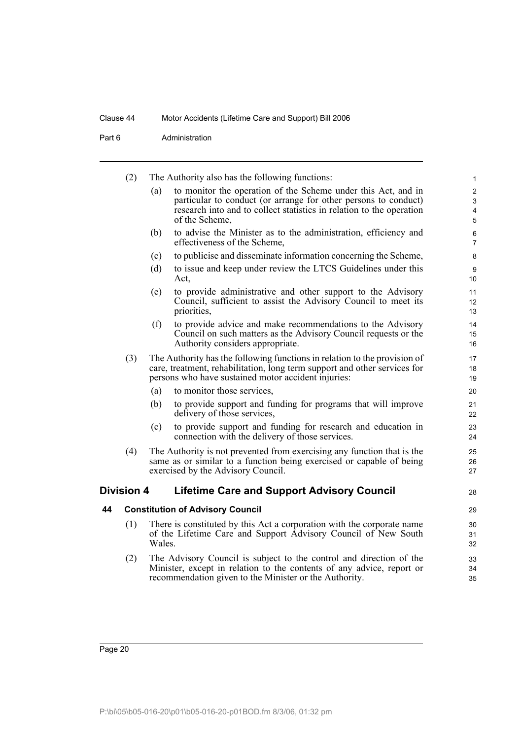Part 6 **Administration** 

<span id="page-31-1"></span><span id="page-31-0"></span>

| The Authority also has the following functions:<br>(2)<br>to monitor the operation of the Scheme under this Act, and in<br>(a)<br>particular to conduct (or arrange for other persons to conduct)<br>research into and to collect statistics in relation to the operation<br>$\overline{\mathbf{4}}$<br>of the Scheme,<br>to advise the Minister as to the administration, efficiency and<br>(b)<br>effectiveness of the Scheme,<br>to publicise and disseminate information concerning the Scheme,<br>(c)<br>(d)<br>to issue and keep under review the LTCS Guidelines under this<br>Act,<br>to provide administrative and other support to the Advisory<br>(e)<br>Council, sufficient to assist the Advisory Council to meet its<br>priorities,<br>(f)<br>to provide advice and make recommendations to the Advisory<br>Council on such matters as the Advisory Council requests or the<br>Authority considers appropriate.<br>(3)<br>The Authority has the following functions in relation to the provision of<br>care, treatment, rehabilitation, long term support and other services for<br>persons who have sustained motor accident injuries:<br>(a)<br>to monitor those services,<br>(b)<br>to provide support and funding for programs that will improve<br>delivery of those services,<br>to provide support and funding for research and education in<br>(c)<br>connection with the delivery of those services.<br>(4)<br>The Authority is not prevented from exercising any function that is the<br>same as or similar to a function being exercised or capable of being<br>exercised by the Advisory Council.<br><b>Division 4</b><br><b>Lifetime Care and Support Advisory Council</b><br><b>Constitution of Advisory Council</b><br>44<br>(1)<br>There is constituted by this Act a corporation with the corporate name<br>of the Lifetime Care and Support Advisory Council of New South<br>Wales.<br>The Advisory Council is subject to the control and direction of the<br>(2)<br>Minister, except in relation to the contents of any advice, report or<br>recommendation given to the Minister or the Authority. |  |  |                     |
|--------------------------------------------------------------------------------------------------------------------------------------------------------------------------------------------------------------------------------------------------------------------------------------------------------------------------------------------------------------------------------------------------------------------------------------------------------------------------------------------------------------------------------------------------------------------------------------------------------------------------------------------------------------------------------------------------------------------------------------------------------------------------------------------------------------------------------------------------------------------------------------------------------------------------------------------------------------------------------------------------------------------------------------------------------------------------------------------------------------------------------------------------------------------------------------------------------------------------------------------------------------------------------------------------------------------------------------------------------------------------------------------------------------------------------------------------------------------------------------------------------------------------------------------------------------------------------------------------------------------------------------------------------------------------------------------------------------------------------------------------------------------------------------------------------------------------------------------------------------------------------------------------------------------------------------------------------------------------------------------------------------------------------------------------------------------------------------------------------------------------------------|--|--|---------------------|
|                                                                                                                                                                                                                                                                                                                                                                                                                                                                                                                                                                                                                                                                                                                                                                                                                                                                                                                                                                                                                                                                                                                                                                                                                                                                                                                                                                                                                                                                                                                                                                                                                                                                                                                                                                                                                                                                                                                                                                                                                                                                                                                                      |  |  | $\mathbf{1}$        |
|                                                                                                                                                                                                                                                                                                                                                                                                                                                                                                                                                                                                                                                                                                                                                                                                                                                                                                                                                                                                                                                                                                                                                                                                                                                                                                                                                                                                                                                                                                                                                                                                                                                                                                                                                                                                                                                                                                                                                                                                                                                                                                                                      |  |  | $\overline{2}$      |
|                                                                                                                                                                                                                                                                                                                                                                                                                                                                                                                                                                                                                                                                                                                                                                                                                                                                                                                                                                                                                                                                                                                                                                                                                                                                                                                                                                                                                                                                                                                                                                                                                                                                                                                                                                                                                                                                                                                                                                                                                                                                                                                                      |  |  | 3                   |
|                                                                                                                                                                                                                                                                                                                                                                                                                                                                                                                                                                                                                                                                                                                                                                                                                                                                                                                                                                                                                                                                                                                                                                                                                                                                                                                                                                                                                                                                                                                                                                                                                                                                                                                                                                                                                                                                                                                                                                                                                                                                                                                                      |  |  | 5                   |
|                                                                                                                                                                                                                                                                                                                                                                                                                                                                                                                                                                                                                                                                                                                                                                                                                                                                                                                                                                                                                                                                                                                                                                                                                                                                                                                                                                                                                                                                                                                                                                                                                                                                                                                                                                                                                                                                                                                                                                                                                                                                                                                                      |  |  | 6<br>$\overline{7}$ |
|                                                                                                                                                                                                                                                                                                                                                                                                                                                                                                                                                                                                                                                                                                                                                                                                                                                                                                                                                                                                                                                                                                                                                                                                                                                                                                                                                                                                                                                                                                                                                                                                                                                                                                                                                                                                                                                                                                                                                                                                                                                                                                                                      |  |  | 8                   |
|                                                                                                                                                                                                                                                                                                                                                                                                                                                                                                                                                                                                                                                                                                                                                                                                                                                                                                                                                                                                                                                                                                                                                                                                                                                                                                                                                                                                                                                                                                                                                                                                                                                                                                                                                                                                                                                                                                                                                                                                                                                                                                                                      |  |  | 9<br>10             |
|                                                                                                                                                                                                                                                                                                                                                                                                                                                                                                                                                                                                                                                                                                                                                                                                                                                                                                                                                                                                                                                                                                                                                                                                                                                                                                                                                                                                                                                                                                                                                                                                                                                                                                                                                                                                                                                                                                                                                                                                                                                                                                                                      |  |  | 11<br>12<br>13      |
|                                                                                                                                                                                                                                                                                                                                                                                                                                                                                                                                                                                                                                                                                                                                                                                                                                                                                                                                                                                                                                                                                                                                                                                                                                                                                                                                                                                                                                                                                                                                                                                                                                                                                                                                                                                                                                                                                                                                                                                                                                                                                                                                      |  |  | 14<br>15<br>16      |
|                                                                                                                                                                                                                                                                                                                                                                                                                                                                                                                                                                                                                                                                                                                                                                                                                                                                                                                                                                                                                                                                                                                                                                                                                                                                                                                                                                                                                                                                                                                                                                                                                                                                                                                                                                                                                                                                                                                                                                                                                                                                                                                                      |  |  | 17                  |
|                                                                                                                                                                                                                                                                                                                                                                                                                                                                                                                                                                                                                                                                                                                                                                                                                                                                                                                                                                                                                                                                                                                                                                                                                                                                                                                                                                                                                                                                                                                                                                                                                                                                                                                                                                                                                                                                                                                                                                                                                                                                                                                                      |  |  | 18<br>19            |
|                                                                                                                                                                                                                                                                                                                                                                                                                                                                                                                                                                                                                                                                                                                                                                                                                                                                                                                                                                                                                                                                                                                                                                                                                                                                                                                                                                                                                                                                                                                                                                                                                                                                                                                                                                                                                                                                                                                                                                                                                                                                                                                                      |  |  | 20                  |
|                                                                                                                                                                                                                                                                                                                                                                                                                                                                                                                                                                                                                                                                                                                                                                                                                                                                                                                                                                                                                                                                                                                                                                                                                                                                                                                                                                                                                                                                                                                                                                                                                                                                                                                                                                                                                                                                                                                                                                                                                                                                                                                                      |  |  | 21<br>22            |
|                                                                                                                                                                                                                                                                                                                                                                                                                                                                                                                                                                                                                                                                                                                                                                                                                                                                                                                                                                                                                                                                                                                                                                                                                                                                                                                                                                                                                                                                                                                                                                                                                                                                                                                                                                                                                                                                                                                                                                                                                                                                                                                                      |  |  | 23<br>24            |
|                                                                                                                                                                                                                                                                                                                                                                                                                                                                                                                                                                                                                                                                                                                                                                                                                                                                                                                                                                                                                                                                                                                                                                                                                                                                                                                                                                                                                                                                                                                                                                                                                                                                                                                                                                                                                                                                                                                                                                                                                                                                                                                                      |  |  | 25<br>26<br>27      |
|                                                                                                                                                                                                                                                                                                                                                                                                                                                                                                                                                                                                                                                                                                                                                                                                                                                                                                                                                                                                                                                                                                                                                                                                                                                                                                                                                                                                                                                                                                                                                                                                                                                                                                                                                                                                                                                                                                                                                                                                                                                                                                                                      |  |  | 28                  |
|                                                                                                                                                                                                                                                                                                                                                                                                                                                                                                                                                                                                                                                                                                                                                                                                                                                                                                                                                                                                                                                                                                                                                                                                                                                                                                                                                                                                                                                                                                                                                                                                                                                                                                                                                                                                                                                                                                                                                                                                                                                                                                                                      |  |  | 29                  |
|                                                                                                                                                                                                                                                                                                                                                                                                                                                                                                                                                                                                                                                                                                                                                                                                                                                                                                                                                                                                                                                                                                                                                                                                                                                                                                                                                                                                                                                                                                                                                                                                                                                                                                                                                                                                                                                                                                                                                                                                                                                                                                                                      |  |  | 30<br>31<br>32      |
|                                                                                                                                                                                                                                                                                                                                                                                                                                                                                                                                                                                                                                                                                                                                                                                                                                                                                                                                                                                                                                                                                                                                                                                                                                                                                                                                                                                                                                                                                                                                                                                                                                                                                                                                                                                                                                                                                                                                                                                                                                                                                                                                      |  |  | 33<br>34<br>35      |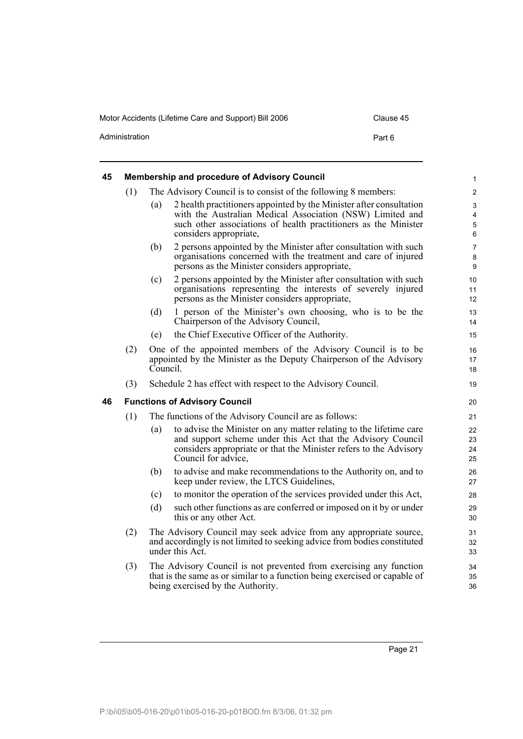Motor Accidents (Lifetime Care and Support) Bill 2006 Clause 45 Administration **Part 6** 

<span id="page-32-1"></span><span id="page-32-0"></span>

| (1) | <b>Membership and procedure of Advisory Council</b><br>The Advisory Council is to consist of the following 8 members:                                                                                                                | 1                                              |
|-----|--------------------------------------------------------------------------------------------------------------------------------------------------------------------------------------------------------------------------------------|------------------------------------------------|
|     |                                                                                                                                                                                                                                      |                                                |
|     |                                                                                                                                                                                                                                      | $\overline{2}$                                 |
|     | 2 health practitioners appointed by the Minister after consultation<br>(a)<br>with the Australian Medical Association (NSW) Limited and<br>such other associations of health practitioners as the Minister<br>considers appropriate, | $\ensuremath{\mathsf{3}}$<br>4<br>5<br>$\,6\,$ |
|     | 2 persons appointed by the Minister after consultation with such<br>(b)<br>organisations concerned with the treatment and care of injured<br>persons as the Minister considers appropriate,                                          | $\overline{7}$<br>8<br>9                       |
|     | 2 persons appointed by the Minister after consultation with such<br>(c)<br>organisations representing the interests of severely injured<br>persons as the Minister considers appropriate,                                            | 10<br>11<br>12                                 |
|     | 1 person of the Minister's own choosing, who is to be the<br>(d)<br>Chairperson of the Advisory Council,                                                                                                                             | 13<br>14                                       |
|     | the Chief Executive Officer of the Authority.<br>(e)                                                                                                                                                                                 | 15                                             |
| (2) | One of the appointed members of the Advisory Council is to be<br>appointed by the Minister as the Deputy Chairperson of the Advisory<br>Council.                                                                                     | 16<br>17<br>18                                 |
| (3) | Schedule 2 has effect with respect to the Advisory Council.                                                                                                                                                                          | 19                                             |
|     |                                                                                                                                                                                                                                      | 20                                             |
| (1) | The functions of the Advisory Council are as follows:                                                                                                                                                                                | 21                                             |
|     | to advise the Minister on any matter relating to the lifetime care<br>(a)<br>and support scheme under this Act that the Advisory Council<br>considers appropriate or that the Minister refers to the Advisory<br>Council for advice, | 22<br>23<br>24<br>25                           |
|     | to advise and make recommendations to the Authority on, and to<br>(b)<br>keep under review, the LTCS Guidelines,                                                                                                                     | 26<br>27                                       |
|     | to monitor the operation of the services provided under this Act,<br>(c)                                                                                                                                                             | 28                                             |
|     | such other functions as are conferred or imposed on it by or under<br>(d)<br>this or any other Act.                                                                                                                                  | 29<br>30                                       |
| (2) | The Advisory Council may seek advice from any appropriate source,<br>and accordingly is not limited to seeking advice from bodies constituted<br>under this Act.                                                                     | 31<br>32<br>33                                 |
| (3) | The Advisory Council is not prevented from exercising any function<br>that is the same as or similar to a function being exercised or capable of<br>being exercised by the Authority.                                                | 34<br>35<br>36                                 |
|     |                                                                                                                                                                                                                                      | <b>Functions of Advisory Council</b>           |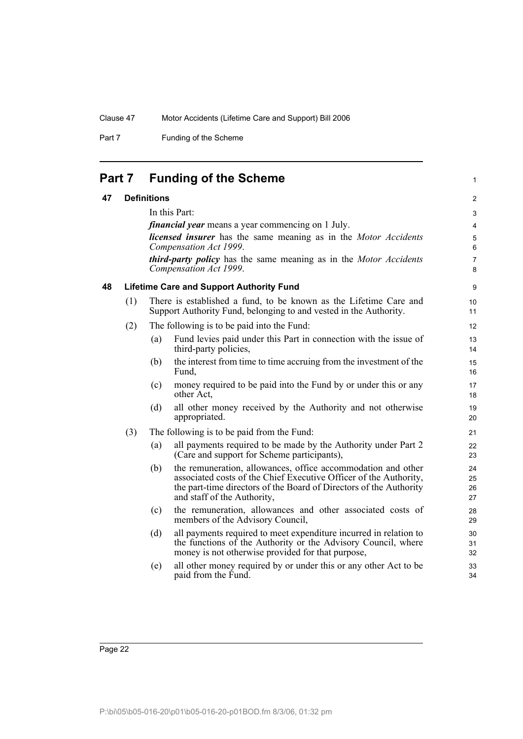Part 7 Funding of the Scheme

<span id="page-33-0"></span>

| Part 7 | <b>Funding of the Scheme</b> |
|--------|------------------------------|
|--------|------------------------------|

## <span id="page-33-2"></span><span id="page-33-1"></span>**47 Definitions**

| 47 |     | <b>Definitions</b> |                                                                                                                                                                                                                                        | $\overline{c}$       |
|----|-----|--------------------|----------------------------------------------------------------------------------------------------------------------------------------------------------------------------------------------------------------------------------------|----------------------|
|    |     |                    | In this Part:                                                                                                                                                                                                                          | 3                    |
|    |     |                    | <i>financial year</i> means a year commencing on 1 July.                                                                                                                                                                               | $\overline{4}$       |
|    |     |                    | <b>licensed insurer</b> has the same meaning as in the Motor Accidents<br>Compensation Act 1999.                                                                                                                                       | 5<br>6               |
|    |     |                    | <b>third-party policy</b> has the same meaning as in the Motor Accidents<br>Compensation Act 1999.                                                                                                                                     | $\overline{7}$<br>8  |
| 48 |     |                    | <b>Lifetime Care and Support Authority Fund</b>                                                                                                                                                                                        | 9                    |
|    | (1) |                    | There is established a fund, to be known as the Lifetime Care and<br>Support Authority Fund, belonging to and vested in the Authority.                                                                                                 | 10<br>11             |
|    | (2) |                    | The following is to be paid into the Fund:                                                                                                                                                                                             | 12                   |
|    |     | (a)                | Fund levies paid under this Part in connection with the issue of<br>third-party policies,                                                                                                                                              | 13<br>14             |
|    |     | (b)                | the interest from time to time accruing from the investment of the<br>Fund.                                                                                                                                                            | 15<br>16             |
|    |     | (c)                | money required to be paid into the Fund by or under this or any<br>other Act.                                                                                                                                                          | 17<br>18             |
|    |     | (d)                | all other money received by the Authority and not otherwise<br>appropriated.                                                                                                                                                           | 19<br>20             |
|    | (3) |                    | The following is to be paid from the Fund:                                                                                                                                                                                             | 21                   |
|    |     | (a)                | all payments required to be made by the Authority under Part 2<br>(Care and support for Scheme participants),                                                                                                                          | 22<br>23             |
|    |     | (b)                | the remuneration, allowances, office accommodation and other<br>associated costs of the Chief Executive Officer of the Authority,<br>the part-time directors of the Board of Directors of the Authority<br>and staff of the Authority, | 24<br>25<br>26<br>27 |
|    |     | (c)                | the remuneration, allowances and other associated costs of<br>members of the Advisory Council,                                                                                                                                         | 28<br>29             |
|    |     | (d)                | all payments required to meet expenditure incurred in relation to<br>the functions of the Authority or the Advisory Council, where<br>money is not otherwise provided for that purpose,                                                | 30<br>31<br>32       |
|    |     | (e)                | all other money required by or under this or any other Act to be<br>paid from the Fund.                                                                                                                                                | 33<br>34             |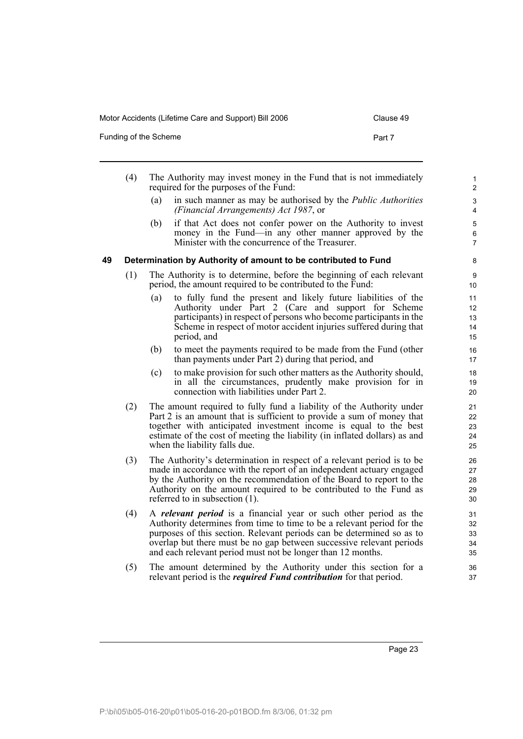Motor Accidents (Lifetime Care and Support) Bill 2006 Clause 49

Funding of the Scheme **Part 7** 

<span id="page-34-0"></span>

|    | (4) |     | The Authority may invest money in the Fund that is not immediately<br>required for the purposes of the Fund:                                                                                                                                                                                                                                                | 1<br>$\overline{2}$                |
|----|-----|-----|-------------------------------------------------------------------------------------------------------------------------------------------------------------------------------------------------------------------------------------------------------------------------------------------------------------------------------------------------------------|------------------------------------|
|    |     | (a) | in such manner as may be authorised by the <i>Public Authorities</i><br>(Financial Arrangements) Act 1987, or                                                                                                                                                                                                                                               | $\ensuremath{\mathsf{3}}$<br>4     |
|    |     | (b) | if that Act does not confer power on the Authority to invest<br>money in the Fund—in any other manner approved by the<br>Minister with the concurrence of the Treasurer.                                                                                                                                                                                    | $\mathbf 5$<br>6<br>$\overline{7}$ |
| 49 |     |     | Determination by Authority of amount to be contributed to Fund                                                                                                                                                                                                                                                                                              | 8                                  |
|    | (1) |     | The Authority is to determine, before the beginning of each relevant<br>period, the amount required to be contributed to the Fund:                                                                                                                                                                                                                          | 9<br>10                            |
|    |     | (a) | to fully fund the present and likely future liabilities of the<br>Authority under Part 2 (Care and support for Scheme<br>participants) in respect of persons who become participants in the<br>Scheme in respect of motor accident injuries suffered during that<br>period, and                                                                             | 11<br>12<br>13<br>14<br>15         |
|    |     | (b) | to meet the payments required to be made from the Fund (other<br>than payments under Part 2) during that period, and                                                                                                                                                                                                                                        | 16<br>17                           |
|    |     | (c) | to make provision for such other matters as the Authority should,<br>in all the circumstances, prudently make provision for in<br>connection with liabilities under Part 2.                                                                                                                                                                                 | 18<br>19<br>20                     |
|    | (2) |     | The amount required to fully fund a liability of the Authority under<br>Part 2 is an amount that is sufficient to provide a sum of money that<br>together with anticipated investment income is equal to the best<br>estimate of the cost of meeting the liability (in inflated dollars) as and<br>when the liability falls due.                            | 21<br>22<br>23<br>24<br>25         |
|    | (3) |     | The Authority's determination in respect of a relevant period is to be<br>made in accordance with the report of an independent actuary engaged<br>by the Authority on the recommendation of the Board to report to the<br>Authority on the amount required to be contributed to the Fund as<br>referred to in subsection $(1)$ .                            | 26<br>27<br>28<br>29<br>30         |
|    | (4) |     | A relevant period is a financial year or such other period as the<br>Authority determines from time to time to be a relevant period for the<br>purposes of this section. Relevant periods can be determined so as to<br>overlap but there must be no gap between successive relevant periods<br>and each relevant period must not be longer than 12 months. | 31<br>32<br>33<br>34<br>35         |
|    | (5) |     | The amount determined by the Authority under this section for a<br>relevant period is the <i>required Fund contribution</i> for that period.                                                                                                                                                                                                                | 36<br>37                           |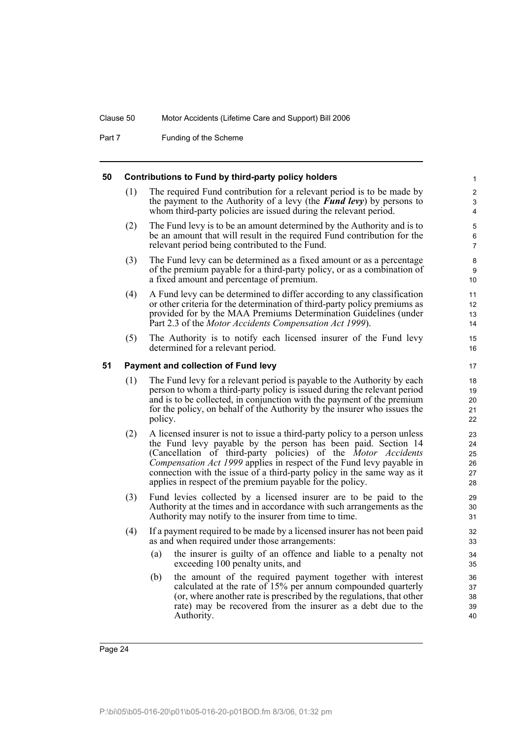Part 7 Funding of the Scheme

#### <span id="page-35-0"></span>**50 Contributions to Fund by third-party policy holders**

(1) The required Fund contribution for a relevant period is to be made by the payment to the Authority of a levy (the *Fund levy*) by persons to whom third-party policies are issued during the relevant period.

- (2) The Fund levy is to be an amount determined by the Authority and is to be an amount that will result in the required Fund contribution for the relevant period being contributed to the Fund.
- (3) The Fund levy can be determined as a fixed amount or as a percentage of the premium payable for a third-party policy, or as a combination of a fixed amount and percentage of premium.
- (4) A Fund levy can be determined to differ according to any classification or other criteria for the determination of third-party policy premiums as provided for by the MAA Premiums Determination Guidelines (under Part 2.3 of the *Motor Accidents Compensation Act 1999*).
- (5) The Authority is to notify each licensed insurer of the Fund levy determined for a relevant period.

#### <span id="page-35-1"></span>**51 Payment and collection of Fund levy**

- (1) The Fund levy for a relevant period is payable to the Authority by each person to whom a third-party policy is issued during the relevant period and is to be collected, in conjunction with the payment of the premium for the policy, on behalf of the Authority by the insurer who issues the policy.
- (2) A licensed insurer is not to issue a third-party policy to a person unless the Fund levy payable by the person has been paid. Section 14 (Cancellation of third-party policies) of the *Motor Accidents Compensation Act 1999* applies in respect of the Fund levy payable in connection with the issue of a third-party policy in the same way as it applies in respect of the premium payable for the policy.
- (3) Fund levies collected by a licensed insurer are to be paid to the Authority at the times and in accordance with such arrangements as the Authority may notify to the insurer from time to time.
- (4) If a payment required to be made by a licensed insurer has not been paid as and when required under those arrangements:
	- (a) the insurer is guilty of an offence and liable to a penalty not exceeding 100 penalty units, and
	- (b) the amount of the required payment together with interest calculated at the rate of 15% per annum compounded quarterly (or, where another rate is prescribed by the regulations, that other rate) may be recovered from the insurer as a debt due to the Authority.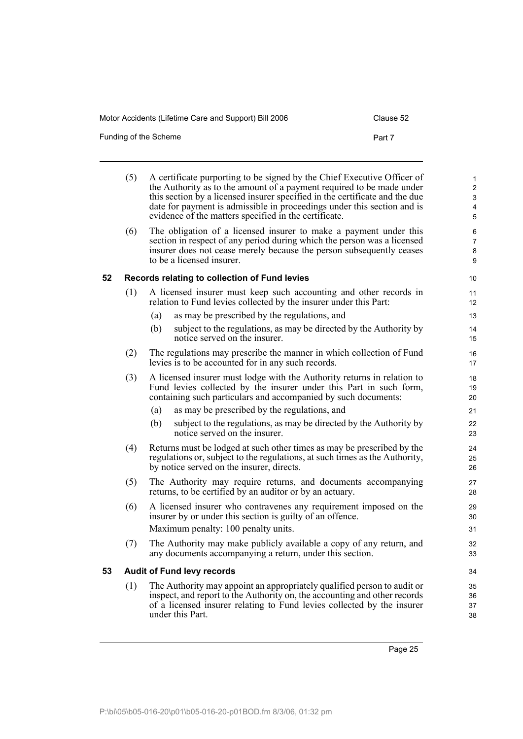Motor Accidents (Lifetime Care and Support) Bill 2006 Clause 52

<span id="page-36-1"></span><span id="page-36-0"></span>

|    | (5) | A certificate purporting to be signed by the Chief Executive Officer of<br>the Authority as to the amount of a payment required to be made under<br>this section by a licensed insurer specified in the certificate and the due<br>date for payment is admissible in proceedings under this section and is<br>evidence of the matters specified in the certificate. | 1<br>$\overline{c}$<br>3<br>4<br>5 |
|----|-----|---------------------------------------------------------------------------------------------------------------------------------------------------------------------------------------------------------------------------------------------------------------------------------------------------------------------------------------------------------------------|------------------------------------|
|    | (6) | The obligation of a licensed insurer to make a payment under this<br>section in respect of any period during which the person was a licensed<br>insurer does not cease merely because the person subsequently ceases<br>to be a licensed insurer.                                                                                                                   | 6<br>$\overline{7}$<br>8<br>9      |
| 52 |     | Records relating to collection of Fund levies                                                                                                                                                                                                                                                                                                                       | 10 <sup>1</sup>                    |
|    | (1) | A licensed insurer must keep such accounting and other records in<br>relation to Fund levies collected by the insurer under this Part:                                                                                                                                                                                                                              | 11<br>12 <sup>°</sup>              |
|    |     | as may be prescribed by the regulations, and<br>(a)                                                                                                                                                                                                                                                                                                                 | 13                                 |
|    |     | subject to the regulations, as may be directed by the Authority by<br>(b)<br>notice served on the insurer.                                                                                                                                                                                                                                                          | 14<br>15                           |
|    | (2) | The regulations may prescribe the manner in which collection of Fund<br>levies is to be accounted for in any such records.                                                                                                                                                                                                                                          | 16<br>17                           |
|    | (3) | A licensed insurer must lodge with the Authority returns in relation to<br>Fund levies collected by the insurer under this Part in such form,<br>containing such particulars and accompanied by such documents:                                                                                                                                                     | 18<br>19<br>20                     |
|    |     | as may be prescribed by the regulations, and<br>(a)                                                                                                                                                                                                                                                                                                                 | 21                                 |
|    |     | subject to the regulations, as may be directed by the Authority by<br>(b)<br>notice served on the insurer.                                                                                                                                                                                                                                                          | 22<br>23                           |
|    | (4) | Returns must be lodged at such other times as may be prescribed by the<br>regulations or, subject to the regulations, at such times as the Authority,<br>by notice served on the insurer, directs.                                                                                                                                                                  | 24<br>25<br>26                     |
|    | (5) | The Authority may require returns, and documents accompanying<br>returns, to be certified by an auditor or by an actuary.                                                                                                                                                                                                                                           | 27<br>28                           |
|    | (6) | A licensed insurer who contravenes any requirement imposed on the<br>insurer by or under this section is guilty of an offence.<br>Maximum penalty: 100 penalty units.                                                                                                                                                                                               | 29<br>30<br>31                     |
|    | (7) | The Authority may make publicly available a copy of any return, and<br>any documents accompanying a return, under this section.                                                                                                                                                                                                                                     | 32<br>33                           |
| 53 |     | <b>Audit of Fund levy records</b>                                                                                                                                                                                                                                                                                                                                   | 34                                 |
|    | (1) | The Authority may appoint an appropriately qualified person to audit or<br>inspect, and report to the Authority on, the accounting and other records<br>of a licensed insurer relating to Fund levies collected by the insurer<br>under this Part.                                                                                                                  | 35<br>36<br>37<br>38               |
|    |     |                                                                                                                                                                                                                                                                                                                                                                     |                                    |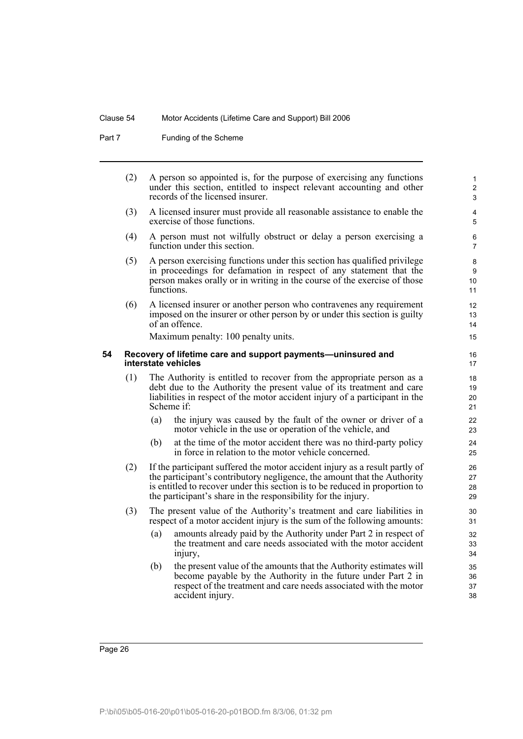Part 7 Funding of the Scheme

<span id="page-37-0"></span>

|    | (2) |            | A person so appointed is, for the purpose of exercising any functions<br>under this section, entitled to inspect relevant accounting and other<br>records of the licensed insurer.                                                                                                                      | $\mathbf{1}$<br>$\boldsymbol{2}$<br>3 |
|----|-----|------------|---------------------------------------------------------------------------------------------------------------------------------------------------------------------------------------------------------------------------------------------------------------------------------------------------------|---------------------------------------|
|    | (3) |            | A licensed insurer must provide all reasonable assistance to enable the<br>exercise of those functions.                                                                                                                                                                                                 | 4<br>5                                |
|    | (4) |            | A person must not wilfully obstruct or delay a person exercising a<br>function under this section.                                                                                                                                                                                                      | 6<br>$\overline{7}$                   |
|    | (5) | functions. | A person exercising functions under this section has qualified privilege<br>in proceedings for defamation in respect of any statement that the<br>person makes orally or in writing in the course of the exercise of those                                                                              | 8<br>9<br>10<br>11                    |
|    | (6) |            | A licensed insurer or another person who contravenes any requirement<br>imposed on the insurer or other person by or under this section is guilty<br>of an offence.                                                                                                                                     | 12<br>13<br>14                        |
|    |     |            | Maximum penalty: 100 penalty units.                                                                                                                                                                                                                                                                     | 15                                    |
| 54 |     |            | Recovery of lifetime care and support payments—uninsured and<br>interstate vehicles                                                                                                                                                                                                                     | 16<br>17                              |
|    | (1) |            | The Authority is entitled to recover from the appropriate person as a<br>debt due to the Authority the present value of its treatment and care<br>liabilities in respect of the motor accident injury of a participant in the<br>Scheme if:                                                             | 18<br>19<br>20<br>21                  |
|    |     | (a)        | the injury was caused by the fault of the owner or driver of a<br>motor vehicle in the use or operation of the vehicle, and                                                                                                                                                                             | 22<br>23                              |
|    |     | (b)        | at the time of the motor accident there was no third-party policy<br>in force in relation to the motor vehicle concerned.                                                                                                                                                                               | 24<br>25                              |
|    | (2) |            | If the participant suffered the motor accident injury as a result partly of<br>the participant's contributory negligence, the amount that the Authority<br>is entitled to recover under this section is to be reduced in proportion to<br>the participant's share in the responsibility for the injury. | 26<br>27<br>28<br>29                  |
|    | (3) |            | The present value of the Authority's treatment and care liabilities in<br>respect of a motor accident injury is the sum of the following amounts:                                                                                                                                                       | 30<br>31                              |
|    |     | (a)        | amounts already paid by the Authority under Part 2 in respect of<br>the treatment and care needs associated with the motor accident<br>injury,                                                                                                                                                          | 32<br>33<br>34                        |
|    |     | (b)        | the present value of the amounts that the Authority estimates will<br>become payable by the Authority in the future under Part 2 in<br>respect of the treatment and care needs associated with the motor<br>accident injury.                                                                            | 35<br>36<br>37<br>38                  |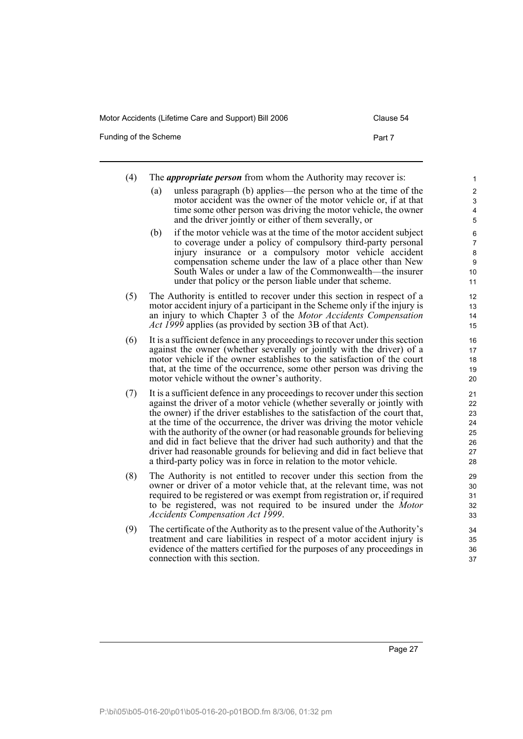| (4) | The <i>appropriate person</i> from whom the Authority may recover is:                                                                                                                                                                                                                                                                                                                                                                                                                                                                                                                                                        | 1                                                              |  |  |
|-----|------------------------------------------------------------------------------------------------------------------------------------------------------------------------------------------------------------------------------------------------------------------------------------------------------------------------------------------------------------------------------------------------------------------------------------------------------------------------------------------------------------------------------------------------------------------------------------------------------------------------------|----------------------------------------------------------------|--|--|
|     | unless paragraph (b) applies—the person who at the time of the<br>(a)<br>motor accident was the owner of the motor vehicle or, if at that<br>time some other person was driving the motor vehicle, the owner<br>and the driver jointly or either of them severally, or                                                                                                                                                                                                                                                                                                                                                       | $\overline{c}$<br>$\mathbf{3}$<br>$\overline{\mathbf{4}}$<br>5 |  |  |
|     | if the motor vehicle was at the time of the motor accident subject<br>(b)<br>to coverage under a policy of compulsory third-party personal<br>injury insurance or a compulsory motor vehicle accident<br>compensation scheme under the law of a place other than New<br>South Wales or under a law of the Commonwealth—the insurer<br>under that policy or the person liable under that scheme.                                                                                                                                                                                                                              | 6<br>$\overline{7}$<br>8<br>$\boldsymbol{9}$<br>10<br>11       |  |  |
| (5) | The Authority is entitled to recover under this section in respect of a<br>motor accident injury of a participant in the Scheme only if the injury is<br>an injury to which Chapter 3 of the Motor Accidents Compensation<br><i>Act 1999</i> applies (as provided by section 3B of that Act).                                                                                                                                                                                                                                                                                                                                |                                                                |  |  |
| (6) | It is a sufficient defence in any proceedings to recover under this section<br>against the owner (whether severally or jointly with the driver) of a<br>motor vehicle if the owner establishes to the satisfaction of the court<br>that, at the time of the occurrence, some other person was driving the<br>motor vehicle without the owner's authority.                                                                                                                                                                                                                                                                    |                                                                |  |  |
| (7) | It is a sufficient defence in any proceedings to recover under this section<br>against the driver of a motor vehicle (whether severally or jointly with<br>the owner) if the driver establishes to the satisfaction of the court that,<br>at the time of the occurrence, the driver was driving the motor vehicle<br>with the authority of the owner (or had reasonable grounds for believing<br>and did in fact believe that the driver had such authority) and that the<br>driver had reasonable grounds for believing and did in fact believe that<br>a third-party policy was in force in relation to the motor vehicle. | 21<br>22<br>23<br>24<br>25<br>26<br>27<br>28                   |  |  |
| (8) | The Authority is not entitled to recover under this section from the<br>owner or driver of a motor vehicle that, at the relevant time, was not<br>required to be registered or was exempt from registration or, if required<br>to be registered, was not required to be insured under the Motor<br><b>Accidents Compensation Act 1999.</b>                                                                                                                                                                                                                                                                                   | 29<br>30<br>31<br>32<br>33                                     |  |  |
| (9) | The certificate of the Authority as to the present value of the Authority's<br>treatment and care liabilities in respect of a motor accident injury is<br>evidence of the matters certified for the purposes of any proceedings in<br>connection with this section.                                                                                                                                                                                                                                                                                                                                                          | 34<br>35<br>36<br>37                                           |  |  |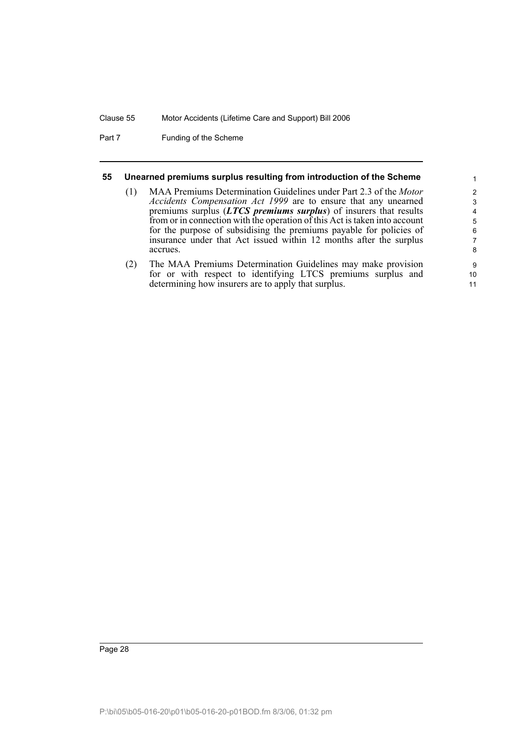Part 7 Funding of the Scheme

#### <span id="page-39-0"></span>**55 Unearned premiums surplus resulting from introduction of the Scheme**

(1) MAA Premiums Determination Guidelines under Part 2.3 of the *Motor Accidents Compensation Act 1999* are to ensure that any unearned premiums surplus (*LTCS premiums surplus*) of insurers that results from or in connection with the operation of this Act is taken into account for the purpose of subsidising the premiums payable for policies of insurance under that Act issued within 12 months after the surplus accrues.

(2) The MAA Premiums Determination Guidelines may make provision for or with respect to identifying LTCS premiums surplus and determining how insurers are to apply that surplus.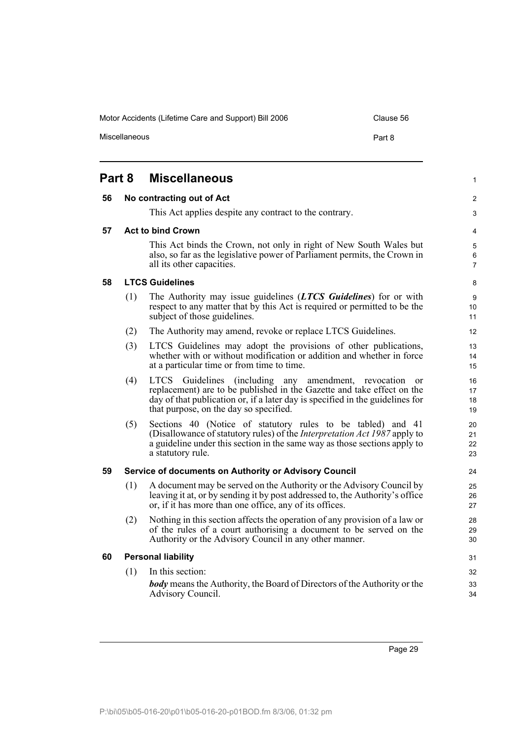Motor Accidents (Lifetime Care and Support) Bill 2006 Clause 56

Miscellaneous **Part 8** 

<span id="page-40-5"></span><span id="page-40-4"></span><span id="page-40-3"></span><span id="page-40-2"></span><span id="page-40-1"></span><span id="page-40-0"></span>

| Part 8 |     | <b>Miscellaneous</b>                                                                                                                                                                                                                                                       | 1                    |
|--------|-----|----------------------------------------------------------------------------------------------------------------------------------------------------------------------------------------------------------------------------------------------------------------------------|----------------------|
| 56     |     | No contracting out of Act                                                                                                                                                                                                                                                  | 2                    |
|        |     | This Act applies despite any contract to the contrary.                                                                                                                                                                                                                     | 3                    |
| 57     |     | <b>Act to bind Crown</b>                                                                                                                                                                                                                                                   | 4                    |
|        |     | This Act binds the Crown, not only in right of New South Wales but<br>also, so far as the legislative power of Parliament permits, the Crown in<br>all its other capacities.                                                                                               | 5<br>6<br>7          |
| 58     |     | <b>LTCS Guidelines</b>                                                                                                                                                                                                                                                     | 8                    |
|        | (1) | The Authority may issue guidelines $(LTCS)$ Guidelines) for or with<br>respect to any matter that by this Act is required or permitted to be the<br>subject of those guidelines.                                                                                           | 9<br>10<br>11        |
|        | (2) | The Authority may amend, revoke or replace LTCS Guidelines.                                                                                                                                                                                                                | 12                   |
|        | (3) | LTCS Guidelines may adopt the provisions of other publications,<br>whether with or without modification or addition and whether in force<br>at a particular time or from time to time.                                                                                     | 13<br>14<br>15       |
|        | (4) | LTCS Guidelines (including any amendment, revocation<br><sub>or</sub><br>replacement) are to be published in the Gazette and take effect on the<br>day of that publication or, if a later day is specified in the guidelines for<br>that purpose, on the day so specified. | 16<br>17<br>18<br>19 |
|        | (5) | Sections 40 (Notice of statutory rules to be tabled) and 41<br>(Disallowance of statutory rules) of the <i>Interpretation Act 1987</i> apply to<br>a guideline under this section in the same way as those sections apply to<br>a statutory rule.                          | 20<br>21<br>22<br>23 |
| 59     |     | <b>Service of documents on Authority or Advisory Council</b>                                                                                                                                                                                                               | 24                   |
|        | (1) | A document may be served on the Authority or the Advisory Council by<br>leaving it at, or by sending it by post addressed to, the Authority's office<br>or, if it has more than one office, any of its offices.                                                            | 25<br>26<br>27       |
|        | (2) | Nothing in this section affects the operation of any provision of a law or<br>of the rules of a court authorising a document to be served on the<br>Authority or the Advisory Council in any other manner.                                                                 | 28<br>29<br>30       |
| 60     |     | <b>Personal liability</b>                                                                                                                                                                                                                                                  | 31                   |
|        | (1) | In this section:                                                                                                                                                                                                                                                           | 32                   |
|        |     | <b>body</b> means the Authority, the Board of Directors of the Authority or the<br>Advisory Council.                                                                                                                                                                       | 33<br>34             |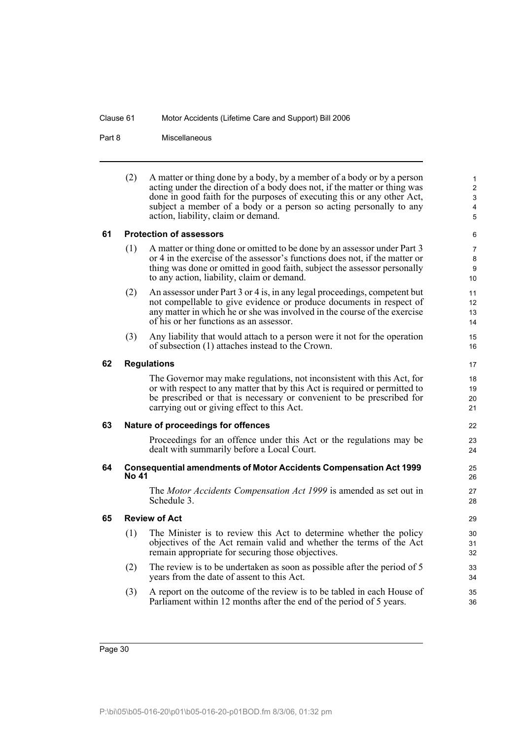Part 8 Miscellaneous

| (2) | A matter or thing done by a body, by a member of a body or by a person    |
|-----|---------------------------------------------------------------------------|
|     | acting under the direction of a body does not, if the matter or thing was |
|     | done in good faith for the purposes of executing this or any other Act,   |
|     | subject a member of a body or a person so acting personally to any        |
|     | action, liability, claim or demand.                                       |

22  $23$ 24

#### <span id="page-41-0"></span>**61 Protection of assessors**

- (1) A matter or thing done or omitted to be done by an assessor under Part 3 or 4 in the exercise of the assessor's functions does not, if the matter or thing was done or omitted in good faith, subject the assessor personally to any action, liability, claim or demand.
- (2) An assessor under Part 3 or 4 is, in any legal proceedings, competent but not compellable to give evidence or produce documents in respect of any matter in which he or she was involved in the course of the exercise of his or her functions as an assessor.
- (3) Any liability that would attach to a person were it not for the operation of subsection (1) attaches instead to the Crown.

#### <span id="page-41-1"></span>**62 Regulations**

The Governor may make regulations, not inconsistent with this Act, for or with respect to any matter that by this Act is required or permitted to be prescribed or that is necessary or convenient to be prescribed for carrying out or giving effect to this Act.

#### <span id="page-41-2"></span>**63 Nature of proceedings for offences**

Proceedings for an offence under this Act or the regulations may be dealt with summarily before a Local Court.

#### <span id="page-41-3"></span>**64 Consequential amendments of Motor Accidents Compensation Act 1999 No 41**

The *Motor Accidents Compensation Act 1999* is amended as set out in Schedule 3.

#### <span id="page-41-4"></span>**65 Review of Act**

- (1) The Minister is to review this Act to determine whether the policy objectives of the Act remain valid and whether the terms of the Act remain appropriate for securing those objectives.
- (2) The review is to be undertaken as soon as possible after the period of 5 years from the date of assent to this Act.
- (3) A report on the outcome of the review is to be tabled in each House of Parliament within 12 months after the end of the period of 5 years.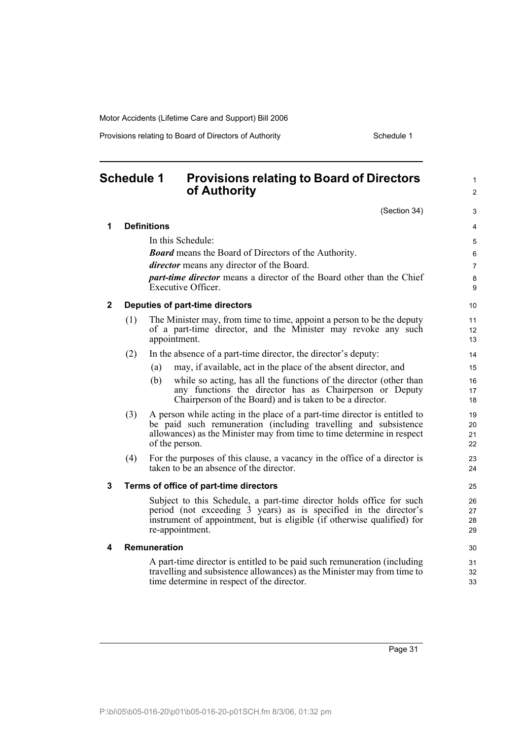Provisions relating to Board of Directors of Authority **Schedule 1** Schedule 1

<span id="page-42-0"></span>

| (Section 34)<br><b>Definitions</b><br>1<br>In this Schedule:<br><b>Board</b> means the Board of Directors of the Authority.<br><i>director</i> means any director of the Board.<br><i>part-time director</i> means a director of the Board other than the Chief<br><b>Executive Officer.</b><br>$\mathbf{2}$<br>Deputies of part-time directors<br>The Minister may, from time to time, appoint a person to be the deputy<br>(1)<br>of a part-time director, and the Minister may revoke any such<br>appointment.<br>In the absence of a part-time director, the director's deputy:<br>(2)<br>may, if available, act in the place of the absent director, and<br>(a)<br>while so acting, has all the functions of the director (other than<br>(b) | $\mathbf{1}$<br>$\overline{2}$ |
|---------------------------------------------------------------------------------------------------------------------------------------------------------------------------------------------------------------------------------------------------------------------------------------------------------------------------------------------------------------------------------------------------------------------------------------------------------------------------------------------------------------------------------------------------------------------------------------------------------------------------------------------------------------------------------------------------------------------------------------------------|--------------------------------|
|                                                                                                                                                                                                                                                                                                                                                                                                                                                                                                                                                                                                                                                                                                                                                   | 3                              |
|                                                                                                                                                                                                                                                                                                                                                                                                                                                                                                                                                                                                                                                                                                                                                   | $\overline{4}$                 |
|                                                                                                                                                                                                                                                                                                                                                                                                                                                                                                                                                                                                                                                                                                                                                   | 5                              |
|                                                                                                                                                                                                                                                                                                                                                                                                                                                                                                                                                                                                                                                                                                                                                   | 6                              |
|                                                                                                                                                                                                                                                                                                                                                                                                                                                                                                                                                                                                                                                                                                                                                   | 7                              |
|                                                                                                                                                                                                                                                                                                                                                                                                                                                                                                                                                                                                                                                                                                                                                   | 8<br>9                         |
|                                                                                                                                                                                                                                                                                                                                                                                                                                                                                                                                                                                                                                                                                                                                                   | 10                             |
|                                                                                                                                                                                                                                                                                                                                                                                                                                                                                                                                                                                                                                                                                                                                                   | 11                             |
|                                                                                                                                                                                                                                                                                                                                                                                                                                                                                                                                                                                                                                                                                                                                                   | 12                             |
|                                                                                                                                                                                                                                                                                                                                                                                                                                                                                                                                                                                                                                                                                                                                                   | 13                             |
|                                                                                                                                                                                                                                                                                                                                                                                                                                                                                                                                                                                                                                                                                                                                                   | 14                             |
|                                                                                                                                                                                                                                                                                                                                                                                                                                                                                                                                                                                                                                                                                                                                                   | 15                             |
| any functions the director has as Chairperson or Deputy                                                                                                                                                                                                                                                                                                                                                                                                                                                                                                                                                                                                                                                                                           | 16<br>17                       |
| Chairperson of the Board) and is taken to be a director.                                                                                                                                                                                                                                                                                                                                                                                                                                                                                                                                                                                                                                                                                          | 18                             |
| (3)<br>A person while acting in the place of a part-time director is entitled to                                                                                                                                                                                                                                                                                                                                                                                                                                                                                                                                                                                                                                                                  | 19                             |
| be paid such remuneration (including travelling and subsistence                                                                                                                                                                                                                                                                                                                                                                                                                                                                                                                                                                                                                                                                                   | 20                             |
| allowances) as the Minister may from time to time determine in respect<br>of the person.                                                                                                                                                                                                                                                                                                                                                                                                                                                                                                                                                                                                                                                          | 21<br>22                       |
| For the purposes of this clause, a vacancy in the office of a director is<br>(4)                                                                                                                                                                                                                                                                                                                                                                                                                                                                                                                                                                                                                                                                  | 23                             |
| taken to be an absence of the director.                                                                                                                                                                                                                                                                                                                                                                                                                                                                                                                                                                                                                                                                                                           | 24                             |
| 3<br>Terms of office of part-time directors                                                                                                                                                                                                                                                                                                                                                                                                                                                                                                                                                                                                                                                                                                       | 25                             |
| Subject to this Schedule, a part-time director holds office for such                                                                                                                                                                                                                                                                                                                                                                                                                                                                                                                                                                                                                                                                              | 26                             |
| period (not exceeding 3 years) as is specified in the director's<br>instrument of appointment, but is eligible (if otherwise qualified) for                                                                                                                                                                                                                                                                                                                                                                                                                                                                                                                                                                                                       | 27<br>28                       |
| re-appointment.                                                                                                                                                                                                                                                                                                                                                                                                                                                                                                                                                                                                                                                                                                                                   | 29                             |
| <b>Remuneration</b><br>4                                                                                                                                                                                                                                                                                                                                                                                                                                                                                                                                                                                                                                                                                                                          | 30                             |
| A part-time director is entitled to be paid such remuneration (including                                                                                                                                                                                                                                                                                                                                                                                                                                                                                                                                                                                                                                                                          | 31                             |
| travelling and subsistence allowances) as the Minister may from time to<br>time determine in respect of the director.                                                                                                                                                                                                                                                                                                                                                                                                                                                                                                                                                                                                                             | 32<br>33                       |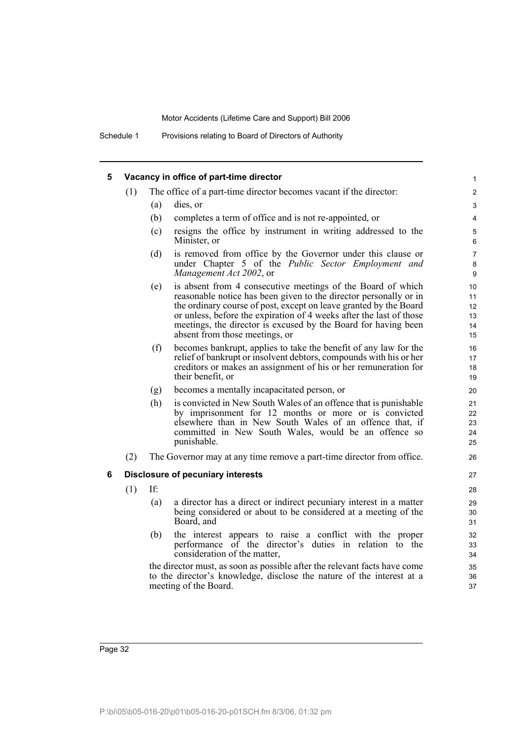Schedule 1 Provisions relating to Board of Directors of Authority

| 5 |     |     | Vacancy in office of part-time director                                                                                                                                                                                                                                                                                                                                          | $\mathbf{1}$                     |
|---|-----|-----|----------------------------------------------------------------------------------------------------------------------------------------------------------------------------------------------------------------------------------------------------------------------------------------------------------------------------------------------------------------------------------|----------------------------------|
|   | (1) |     | The office of a part-time director becomes vacant if the director:                                                                                                                                                                                                                                                                                                               | 2                                |
|   |     | (a) | dies, or                                                                                                                                                                                                                                                                                                                                                                         | 3                                |
|   |     | (b) | completes a term of office and is not re-appointed, or                                                                                                                                                                                                                                                                                                                           | 4                                |
|   |     | (c) | resigns the office by instrument in writing addressed to the<br>Minister, or                                                                                                                                                                                                                                                                                                     | 5<br>6                           |
|   |     | (d) | is removed from office by the Governor under this clause or<br>under Chapter 5 of the Public Sector Employment and<br>Management Act 2002, or                                                                                                                                                                                                                                    | $\overline{7}$<br>$\bf 8$<br>9   |
|   |     | (e) | is absent from 4 consecutive meetings of the Board of which<br>reasonable notice has been given to the director personally or in<br>the ordinary course of post, except on leave granted by the Board<br>or unless, before the expiration of 4 weeks after the last of those<br>meetings, the director is excused by the Board for having been<br>absent from those meetings, or | 10<br>11<br>12<br>13<br>14<br>15 |
|   |     | (f) | becomes bankrupt, applies to take the benefit of any law for the<br>relief of bankrupt or insolvent debtors, compounds with his or her<br>creditors or makes an assignment of his or her remuneration for<br>their benefit, or                                                                                                                                                   | 16<br>17<br>18<br>19             |
|   |     | (g) | becomes a mentally incapacitated person, or                                                                                                                                                                                                                                                                                                                                      | 20                               |
|   |     | (h) | is convicted in New South Wales of an offence that is punishable<br>by imprisonment for 12 months or more or is convicted<br>elsewhere than in New South Wales of an offence that, if<br>committed in New South Wales, would be an offence so<br>punishable.                                                                                                                     | 21<br>22<br>23<br>24<br>25       |
|   | (2) |     | The Governor may at any time remove a part-time director from office.                                                                                                                                                                                                                                                                                                            | 26                               |
| 6 |     |     | <b>Disclosure of pecuniary interests</b>                                                                                                                                                                                                                                                                                                                                         | 27                               |
|   | (1) | If: |                                                                                                                                                                                                                                                                                                                                                                                  | 28                               |
|   |     | (a) | a director has a direct or indirect pecuniary interest in a matter<br>being considered or about to be considered at a meeting of the<br>Board, and                                                                                                                                                                                                                               | 29<br>30<br>31                   |
|   |     | (b) | the interest appears to raise a conflict with the proper<br>performance of the director's duties in relation to the<br>consideration of the matter,                                                                                                                                                                                                                              | 32<br>33<br>34                   |
|   |     |     | the director must, as soon as possible after the relevant facts have come<br>to the director's knowledge, disclose the nature of the interest at a<br>meeting of the Board.                                                                                                                                                                                                      | 35<br>36<br>37                   |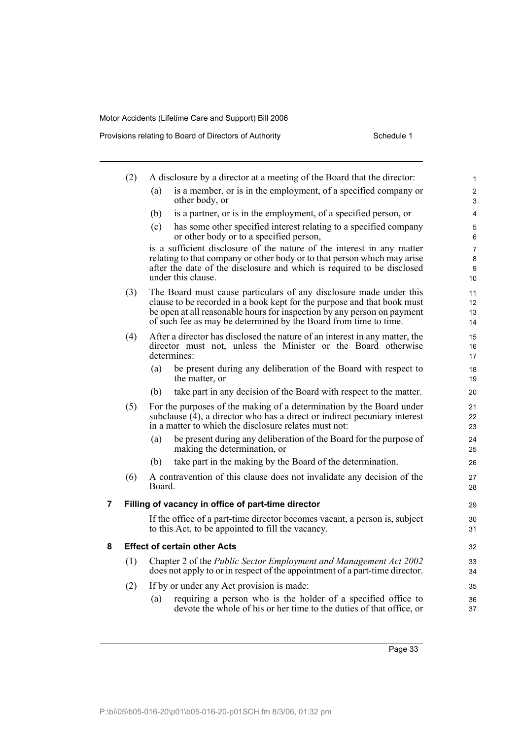|   | (2) |        | A disclosure by a director at a meeting of the Board that the director:                                                                                                                                                                                                                      | 1                            |
|---|-----|--------|----------------------------------------------------------------------------------------------------------------------------------------------------------------------------------------------------------------------------------------------------------------------------------------------|------------------------------|
|   |     | (a)    | is a member, or is in the employment, of a specified company or<br>other body, or                                                                                                                                                                                                            | $\overline{\mathbf{c}}$<br>3 |
|   |     | (b)    | is a partner, or is in the employment, of a specified person, or                                                                                                                                                                                                                             | 4                            |
|   |     | (c)    | has some other specified interest relating to a specified company<br>or other body or to a specified person,                                                                                                                                                                                 | 5<br>6                       |
|   |     |        | is a sufficient disclosure of the nature of the interest in any matter<br>relating to that company or other body or to that person which may arise<br>after the date of the disclosure and which is required to be disclosed<br>under this clause.                                           | 7<br>8<br>9<br>10            |
|   | (3) |        | The Board must cause particulars of any disclosure made under this<br>clause to be recorded in a book kept for the purpose and that book must<br>be open at all reasonable hours for inspection by any person on payment<br>of such fee as may be determined by the Board from time to time. | 11<br>12<br>13<br>14         |
|   | (4) |        | After a director has disclosed the nature of an interest in any matter, the<br>director must not, unless the Minister or the Board otherwise<br>determines:                                                                                                                                  | 15<br>16<br>17               |
|   |     | (a)    | be present during any deliberation of the Board with respect to<br>the matter, or                                                                                                                                                                                                            | 18<br>19                     |
|   |     | (b)    | take part in any decision of the Board with respect to the matter.                                                                                                                                                                                                                           | 20                           |
|   | (5) |        | For the purposes of the making of a determination by the Board under<br>subclause $(4)$ , a director who has a direct or indirect pecuniary interest<br>in a matter to which the disclosure relates must not:                                                                                | 21<br>22<br>23               |
|   |     | (a)    | be present during any deliberation of the Board for the purpose of<br>making the determination, or                                                                                                                                                                                           | 24<br>25                     |
|   |     | (b)    | take part in the making by the Board of the determination.                                                                                                                                                                                                                                   | 26                           |
|   | (6) | Board. | A contravention of this clause does not invalidate any decision of the                                                                                                                                                                                                                       | 27<br>28                     |
| 7 |     |        | Filling of vacancy in office of part-time director                                                                                                                                                                                                                                           | 29                           |
|   |     |        | If the office of a part-time director becomes vacant, a person is, subject<br>to this Act, to be appointed to fill the vacancy.                                                                                                                                                              | 30<br>31                     |
| 8 |     |        | <b>Effect of certain other Acts</b>                                                                                                                                                                                                                                                          | 32                           |
|   | (1) |        | Chapter 2 of the Public Sector Employment and Management Act 2002<br>does not apply to or in respect of the appointment of a part-time director.                                                                                                                                             | 33<br>34                     |
|   | (2) |        | If by or under any Act provision is made:                                                                                                                                                                                                                                                    | 35                           |
|   |     | (a)    | requiring a person who is the holder of a specified office to<br>devote the whole of his or her time to the duties of that office, or                                                                                                                                                        | 36<br>37                     |
|   |     |        |                                                                                                                                                                                                                                                                                              |                              |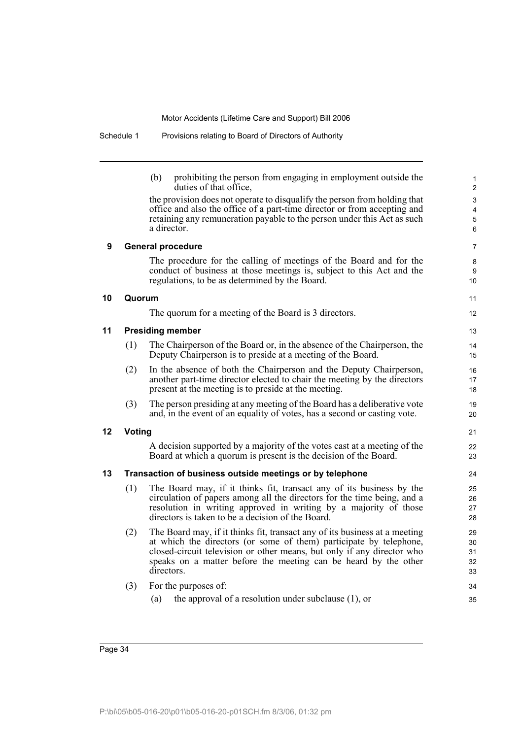|    |        | prohibiting the person from engaging in employment outside the<br>(b)<br>duties of that office.                                                                                                        | 1<br>$\overline{2}$     |
|----|--------|--------------------------------------------------------------------------------------------------------------------------------------------------------------------------------------------------------|-------------------------|
|    |        | the provision does not operate to disqualify the person from holding that                                                                                                                              | 3                       |
|    |        | office and also the office of a part-time director or from accepting and                                                                                                                               | $\overline{\mathbf{4}}$ |
|    |        | retaining any remuneration payable to the person under this Act as such<br>a director.                                                                                                                 | 5<br>6                  |
| 9  |        | <b>General procedure</b>                                                                                                                                                                               | 7                       |
|    |        | The procedure for the calling of meetings of the Board and for the                                                                                                                                     | 8                       |
|    |        | conduct of business at those meetings is, subject to this Act and the<br>regulations, to be as determined by the Board.                                                                                | 9<br>10                 |
| 10 | Quorum |                                                                                                                                                                                                        | 11                      |
|    |        | The quorum for a meeting of the Board is 3 directors.                                                                                                                                                  | 12                      |
| 11 |        | <b>Presiding member</b>                                                                                                                                                                                | 13                      |
|    | (1)    | The Chairperson of the Board or, in the absence of the Chairperson, the<br>Deputy Chairperson is to preside at a meeting of the Board.                                                                 | 14<br>15                |
|    | (2)    | In the absence of both the Chairperson and the Deputy Chairperson,<br>another part-time director elected to chair the meeting by the directors<br>present at the meeting is to preside at the meeting. | 16<br>17<br>18          |
|    | (3)    | The person presiding at any meeting of the Board has a deliberative vote<br>and, in the event of an equality of votes, has a second or casting vote.                                                   | 19<br>20                |
| 12 | Voting |                                                                                                                                                                                                        | 21                      |
|    |        | A decision supported by a majority of the votes cast at a meeting of the<br>Board at which a quorum is present is the decision of the Board.                                                           | 22<br>23                |
| 13 |        | Transaction of business outside meetings or by telephone                                                                                                                                               | 24                      |
|    | (1)    | The Board may, if it thinks fit, transact any of its business by the                                                                                                                                   | 25                      |
|    |        | circulation of papers among all the directors for the time being, and a<br>resolution in writing approved in writing by a majority of those                                                            | 26<br>27                |
|    |        | directors is taken to be a decision of the Board.                                                                                                                                                      | 28                      |
|    | (2)    | The Board may, if it thinks fit, transact any of its business at a meeting                                                                                                                             | 29                      |
|    |        | at which the directors (or some of them) participate by telephone,<br>closed-circuit television or other means, but only if any director who                                                           | 30<br>31                |
|    |        | speaks on a matter before the meeting can be heard by the other                                                                                                                                        | 32                      |
|    |        | directors.                                                                                                                                                                                             | 33                      |
|    | (3)    | For the purposes of:                                                                                                                                                                                   | 34                      |
|    |        | the approval of a resolution under subclause $(1)$ , or<br>(a)                                                                                                                                         | 35                      |
|    |        |                                                                                                                                                                                                        |                         |

Schedule 1 Provisions relating to Board of Directors of Authority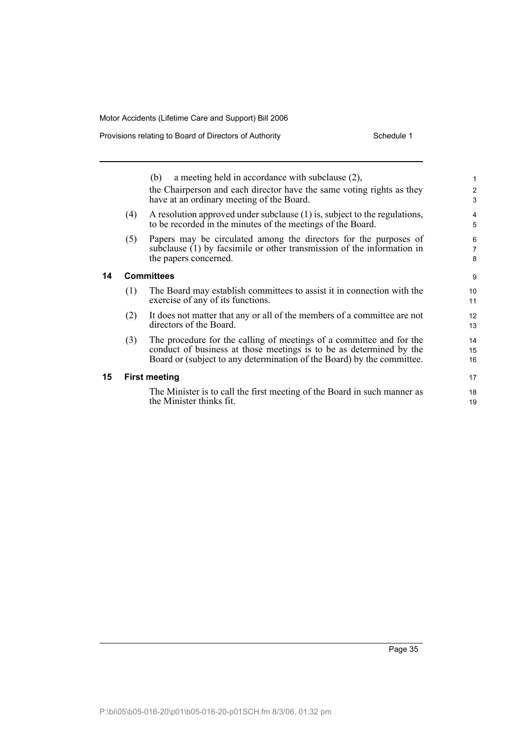**14 Committees**

**15 First meeting**

|     | a meeting held in accordance with subclause $(2)$ ,<br>(b)                                                                                                                                                            | 1                        |
|-----|-----------------------------------------------------------------------------------------------------------------------------------------------------------------------------------------------------------------------|--------------------------|
|     | the Chairperson and each director have the same voting rights as they<br>have at an ordinary meeting of the Board.                                                                                                    | 2<br>3                   |
| (4) | A resolution approved under subclause (1) is, subject to the regulations,<br>to be recorded in the minutes of the meetings of the Board.                                                                              | $\overline{4}$<br>5      |
| (5) | Papers may be circulated among the directors for the purposes of<br>subclause $(1)$ by facsimile or other transmission of the information in<br>the papers concerned.                                                 | 6<br>$\overline{7}$<br>8 |
|     | <b>Committees</b>                                                                                                                                                                                                     | 9                        |
| (1) | The Board may establish committees to assist it in connection with the<br>exercise of any of its functions.                                                                                                           | 10<br>11                 |
| (2) | It does not matter that any or all of the members of a committee are not<br>directors of the Board.                                                                                                                   | 12<br>13                 |
| (3) | The procedure for the calling of meetings of a committee and for the<br>conduct of business at those meetings is to be as determined by the<br>Board or (subject to any determination of the Board) by the committee. | 14<br>15<br>16           |
|     | <b>First meeting</b>                                                                                                                                                                                                  | 17                       |
|     | The Minister is to call the first meeting of the Board in such manner as<br>the Minister thinks fit.                                                                                                                  | 18<br>19                 |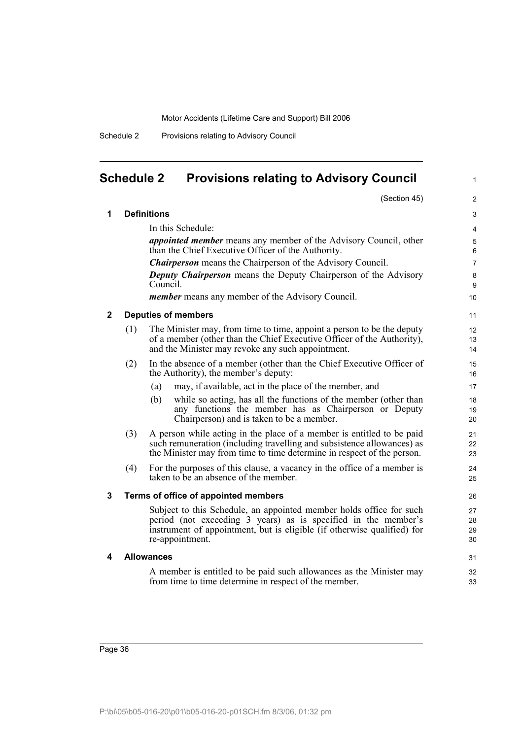Schedule 2 Provisions relating to Advisory Council

<span id="page-47-0"></span>

| <b>Schedule 2</b> |  | <b>Provisions relating to Advisory Council</b> |  |
|-------------------|--|------------------------------------------------|--|
|                   |  |                                                |  |

(Section 45)

1

| 1            |                                                                                                                               | <b>Definitions</b>                                                                                                                                                                                                                  | 3                    |  |  |  |  |
|--------------|-------------------------------------------------------------------------------------------------------------------------------|-------------------------------------------------------------------------------------------------------------------------------------------------------------------------------------------------------------------------------------|----------------------|--|--|--|--|
|              |                                                                                                                               | In this Schedule:                                                                                                                                                                                                                   | 4                    |  |  |  |  |
|              | <i>appointed member</i> means any member of the Advisory Council, other<br>than the Chief Executive Officer of the Authority. |                                                                                                                                                                                                                                     | 5<br>6               |  |  |  |  |
|              |                                                                                                                               | <b>Chairperson</b> means the Chairperson of the Advisory Council.                                                                                                                                                                   | $\overline{7}$       |  |  |  |  |
|              |                                                                                                                               | <b>Deputy Chairperson</b> means the Deputy Chairperson of the Advisory<br>Council.                                                                                                                                                  | 8<br>9               |  |  |  |  |
|              |                                                                                                                               | <i>member</i> means any member of the Advisory Council.                                                                                                                                                                             | 10                   |  |  |  |  |
| $\mathbf{2}$ |                                                                                                                               | <b>Deputies of members</b>                                                                                                                                                                                                          | 11                   |  |  |  |  |
|              | (1)                                                                                                                           | The Minister may, from time to time, appoint a person to be the deputy<br>of a member (other than the Chief Executive Officer of the Authority),<br>and the Minister may revoke any such appointment.                               | 12<br>13<br>14       |  |  |  |  |
|              | (2)                                                                                                                           | In the absence of a member (other than the Chief Executive Officer of<br>the Authority), the member's deputy:                                                                                                                       | 15<br>16             |  |  |  |  |
|              |                                                                                                                               | may, if available, act in the place of the member, and<br>(a)                                                                                                                                                                       | 17                   |  |  |  |  |
|              |                                                                                                                               | while so acting, has all the functions of the member (other than<br>(b)<br>any functions the member has as Chairperson or Deputy<br>Chairperson) and is taken to be a member.                                                       | 18<br>19<br>20       |  |  |  |  |
|              | (3)                                                                                                                           | A person while acting in the place of a member is entitled to be paid<br>such remuneration (including travelling and subsistence allowances) as<br>the Minister may from time to time determine in respect of the person.           | 21<br>22<br>23       |  |  |  |  |
|              | (4)                                                                                                                           | For the purposes of this clause, a vacancy in the office of a member is<br>taken to be an absence of the member.                                                                                                                    | 24<br>25             |  |  |  |  |
| 3            | Terms of office of appointed members                                                                                          |                                                                                                                                                                                                                                     |                      |  |  |  |  |
|              |                                                                                                                               | Subject to this Schedule, an appointed member holds office for such<br>period (not exceeding 3 years) as is specified in the member's<br>instrument of appointment, but is eligible (if otherwise qualified) for<br>re-appointment. | 27<br>28<br>29<br>30 |  |  |  |  |
| 4            |                                                                                                                               | <b>Allowances</b>                                                                                                                                                                                                                   | 31                   |  |  |  |  |
|              |                                                                                                                               | A member is entitled to be paid such allowances as the Minister may<br>from time to time determine in respect of the member.                                                                                                        | 32<br>33             |  |  |  |  |
|              |                                                                                                                               |                                                                                                                                                                                                                                     |                      |  |  |  |  |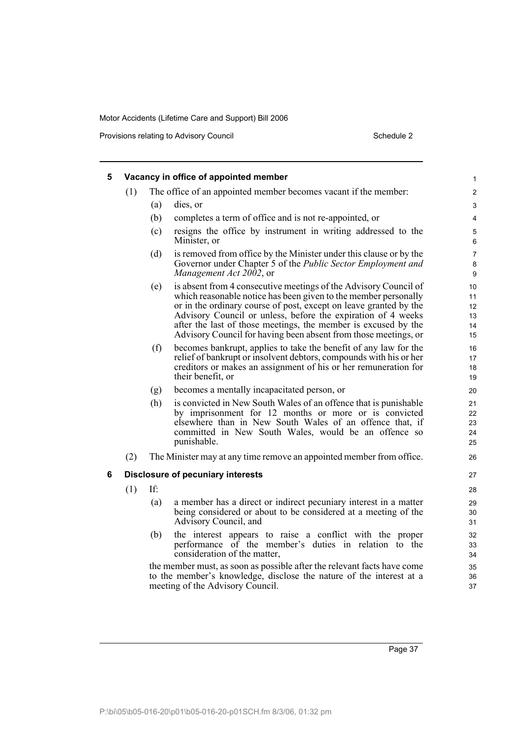Provisions relating to Advisory Council **Schedule 2** Schedule 2

| 5 |     |     | Vacancy in office of appointed member                                                                                                                                                                                                                                                                                                                                                                         | 1                                |
|---|-----|-----|---------------------------------------------------------------------------------------------------------------------------------------------------------------------------------------------------------------------------------------------------------------------------------------------------------------------------------------------------------------------------------------------------------------|----------------------------------|
|   | (1) |     | The office of an appointed member becomes vacant if the member:                                                                                                                                                                                                                                                                                                                                               | $\overline{c}$                   |
|   |     | (a) | dies, or                                                                                                                                                                                                                                                                                                                                                                                                      | 3                                |
|   |     | (b) | completes a term of office and is not re-appointed, or                                                                                                                                                                                                                                                                                                                                                        | 4                                |
|   |     | (c) | resigns the office by instrument in writing addressed to the<br>Minister, or                                                                                                                                                                                                                                                                                                                                  | 5<br>6                           |
|   |     | (d) | is removed from office by the Minister under this clause or by the<br>Governor under Chapter 5 of the Public Sector Employment and<br><i>Management Act 2002, or</i>                                                                                                                                                                                                                                          | $\overline{7}$<br>8<br>9         |
|   |     | (e) | is absent from 4 consecutive meetings of the Advisory Council of<br>which reasonable notice has been given to the member personally<br>or in the ordinary course of post, except on leave granted by the<br>Advisory Council or unless, before the expiration of 4 weeks<br>after the last of those meetings, the member is excused by the<br>Advisory Council for having been absent from those meetings, or | 10<br>11<br>12<br>13<br>14<br>15 |
|   |     | (f) | becomes bankrupt, applies to take the benefit of any law for the<br>relief of bankrupt or insolvent debtors, compounds with his or her<br>creditors or makes an assignment of his or her remuneration for<br>their benefit, or                                                                                                                                                                                | 16<br>17<br>18<br>19             |
|   |     | (g) | becomes a mentally incapacitated person, or                                                                                                                                                                                                                                                                                                                                                                   | 20                               |
|   |     | (h) | is convicted in New South Wales of an offence that is punishable<br>by imprisonment for 12 months or more or is convicted<br>elsewhere than in New South Wales of an offence that, if<br>committed in New South Wales, would be an offence so<br>punishable.                                                                                                                                                  | 21<br>22<br>23<br>24<br>25       |
|   | (2) |     | The Minister may at any time remove an appointed member from office.                                                                                                                                                                                                                                                                                                                                          | 26                               |
| 6 |     |     | <b>Disclosure of pecuniary interests</b>                                                                                                                                                                                                                                                                                                                                                                      | 27                               |
|   | (1) | If: |                                                                                                                                                                                                                                                                                                                                                                                                               | 28                               |
|   |     | (a) | a member has a direct or indirect pecuniary interest in a matter<br>being considered or about to be considered at a meeting of the<br>Advisory Council, and                                                                                                                                                                                                                                                   | 29<br>30<br>31                   |
|   |     | (b) | the interest appears to raise a conflict with the proper<br>performance of the member's duties in relation to the<br>consideration of the matter,                                                                                                                                                                                                                                                             | 32<br>33<br>34                   |
|   |     |     | the member must, as soon as possible after the relevant facts have come<br>to the member's knowledge, disclose the nature of the interest at a<br>meeting of the Advisory Council.                                                                                                                                                                                                                            | 35<br>36<br>37                   |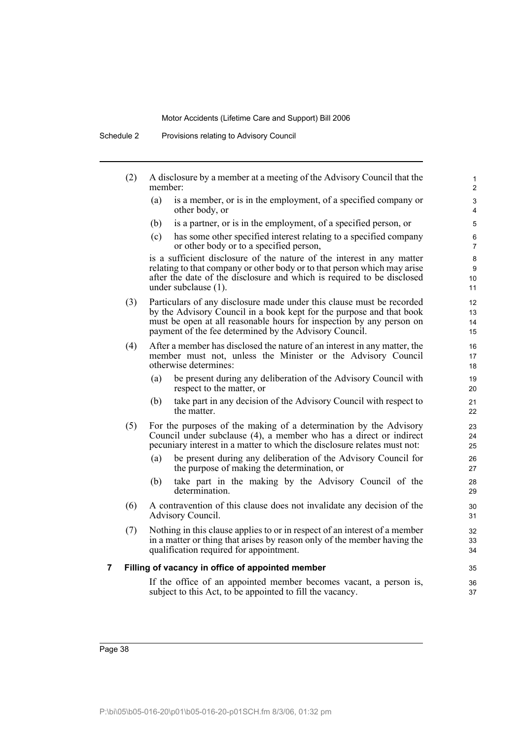|   | (2) | member: | A disclosure by a member at a meeting of the Advisory Council that the                                                                                                                                                                                                          | 1<br>$\overline{2}$            |
|---|-----|---------|---------------------------------------------------------------------------------------------------------------------------------------------------------------------------------------------------------------------------------------------------------------------------------|--------------------------------|
|   |     | (a)     | is a member, or is in the employment, of a specified company or<br>other body, or                                                                                                                                                                                               | $\ensuremath{\mathsf{3}}$<br>4 |
|   |     | (b)     | is a partner, or is in the employment, of a specified person, or                                                                                                                                                                                                                | 5                              |
|   |     | (c)     | has some other specified interest relating to a specified company<br>or other body or to a specified person,                                                                                                                                                                    | 6<br>$\overline{7}$            |
|   |     |         | is a sufficient disclosure of the nature of the interest in any matter<br>relating to that company or other body or to that person which may arise<br>after the date of the disclosure and which is required to be disclosed<br>under subclause (1).                            | $\bf 8$<br>9<br>10<br>11       |
|   | (3) |         | Particulars of any disclosure made under this clause must be recorded<br>by the Advisory Council in a book kept for the purpose and that book<br>must be open at all reasonable hours for inspection by any person on<br>payment of the fee determined by the Advisory Council. | 12<br>13<br>14<br>15           |
|   | (4) |         | After a member has disclosed the nature of an interest in any matter, the<br>member must not, unless the Minister or the Advisory Council<br>otherwise determines:                                                                                                              | 16<br>17<br>18                 |
|   |     | (a)     | be present during any deliberation of the Advisory Council with<br>respect to the matter, or                                                                                                                                                                                    | 19<br>20                       |
|   |     | (b)     | take part in any decision of the Advisory Council with respect to<br>the matter.                                                                                                                                                                                                | 21<br>22                       |
|   | (5) |         | For the purposes of the making of a determination by the Advisory<br>Council under subclause (4), a member who has a direct or indirect<br>pecuniary interest in a matter to which the disclosure relates must not:                                                             | 23<br>24<br>25                 |
|   |     | (a)     | be present during any deliberation of the Advisory Council for<br>the purpose of making the determination, or                                                                                                                                                                   | 26<br>27                       |
|   |     | (b)     | take part in the making by the Advisory Council of the<br>determination.                                                                                                                                                                                                        | 28<br>29                       |
|   | (6) |         | A contravention of this clause does not invalidate any decision of the<br>Advisory Council.                                                                                                                                                                                     | 30<br>31                       |
|   | (7) |         | Nothing in this clause applies to or in respect of an interest of a member<br>in a matter or thing that arises by reason only of the member having the<br>qualification required for appointment.                                                                               | 32<br>33<br>34                 |
| 7 |     |         | Filling of vacancy in office of appointed member                                                                                                                                                                                                                                | 35                             |
|   |     |         | If the office of an appointed member becomes vacant, a person is,<br>subject to this Act, to be appointed to fill the vacancy.                                                                                                                                                  | 36<br>37                       |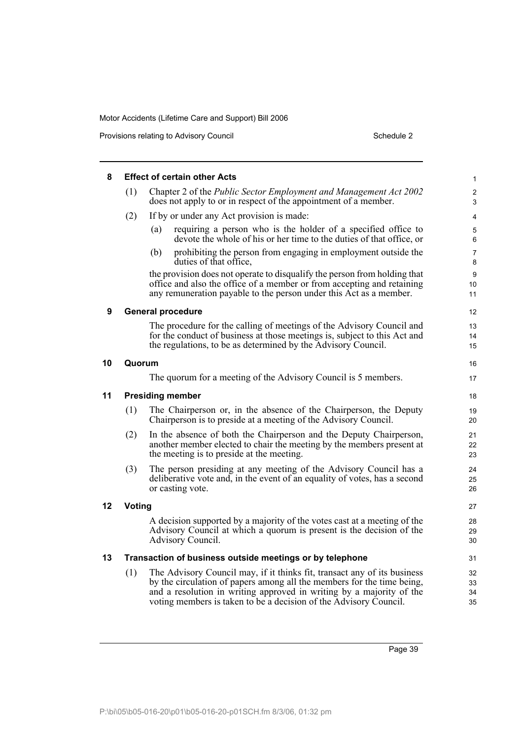Provisions relating to Advisory Council **Schedule 2** Schedule 2

| 8  |        | <b>Effect of certain other Acts</b><br>Chapter 2 of the Public Sector Employment and Management Act 2002<br>does not apply to or in respect of the appointment of a member. |                                                                                                                                                                                                                                                                                                 | $\mathbf{1}$         |  |
|----|--------|-----------------------------------------------------------------------------------------------------------------------------------------------------------------------------|-------------------------------------------------------------------------------------------------------------------------------------------------------------------------------------------------------------------------------------------------------------------------------------------------|----------------------|--|
|    | (1)    |                                                                                                                                                                             |                                                                                                                                                                                                                                                                                                 | $\overline{2}$<br>3  |  |
|    | (2)    |                                                                                                                                                                             | If by or under any Act provision is made:                                                                                                                                                                                                                                                       | $\overline{4}$       |  |
|    |        | (a)                                                                                                                                                                         | requiring a person who is the holder of a specified office to<br>devote the whole of his or her time to the duties of that office, or                                                                                                                                                           | 5<br>6               |  |
|    |        | (b)                                                                                                                                                                         | prohibiting the person from engaging in employment outside the<br>duties of that office,                                                                                                                                                                                                        | $\overline{7}$<br>8  |  |
|    |        |                                                                                                                                                                             | the provision does not operate to disqualify the person from holding that<br>office and also the office of a member or from accepting and retaining<br>any remuneration payable to the person under this Act as a member.                                                                       | 9<br>10<br>11        |  |
| 9  |        | <b>General procedure</b>                                                                                                                                                    |                                                                                                                                                                                                                                                                                                 | 12                   |  |
|    |        |                                                                                                                                                                             | The procedure for the calling of meetings of the Advisory Council and<br>for the conduct of business at those meetings is, subject to this Act and<br>the regulations, to be as determined by the Advisory Council.                                                                             | 13<br>14<br>15       |  |
| 10 | Quorum |                                                                                                                                                                             |                                                                                                                                                                                                                                                                                                 | 16                   |  |
|    |        |                                                                                                                                                                             | The quorum for a meeting of the Advisory Council is 5 members.                                                                                                                                                                                                                                  | 17                   |  |
| 11 |        | <b>Presiding member</b>                                                                                                                                                     |                                                                                                                                                                                                                                                                                                 |                      |  |
|    | (1)    |                                                                                                                                                                             | The Chairperson or, in the absence of the Chairperson, the Deputy<br>Chairperson is to preside at a meeting of the Advisory Council.                                                                                                                                                            | 19<br>20             |  |
|    | (2)    |                                                                                                                                                                             | In the absence of both the Chairperson and the Deputy Chairperson,<br>another member elected to chair the meeting by the members present at<br>the meeting is to preside at the meeting.                                                                                                        | 21<br>22<br>23       |  |
|    | (3)    |                                                                                                                                                                             | The person presiding at any meeting of the Advisory Council has a<br>deliberative vote and, in the event of an equality of votes, has a second<br>or casting vote.                                                                                                                              | 24<br>25<br>26       |  |
| 12 |        | Voting                                                                                                                                                                      |                                                                                                                                                                                                                                                                                                 |                      |  |
|    |        |                                                                                                                                                                             | A decision supported by a majority of the votes cast at a meeting of the<br>Advisory Council at which a quorum is present is the decision of the<br>Advisory Council.                                                                                                                           | 28<br>29<br>30       |  |
| 13 |        | Transaction of business outside meetings or by telephone                                                                                                                    |                                                                                                                                                                                                                                                                                                 |                      |  |
|    | (1)    |                                                                                                                                                                             | The Advisory Council may, if it thinks fit, transact any of its business<br>by the circulation of papers among all the members for the time being,<br>and a resolution in writing approved in writing by a majority of the<br>voting members is taken to be a decision of the Advisory Council. | 32<br>33<br>34<br>35 |  |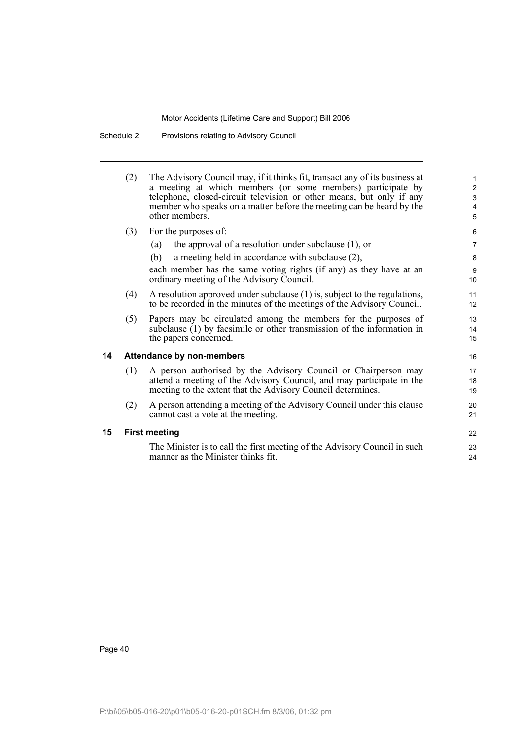Schedule 2 Provisions relating to Advisory Council

|    | (2)                  | The Advisory Council may, if it thinks fit, transact any of its business at<br>a meeting at which members (or some members) participate by<br>telephone, closed-circuit television or other means, but only if any<br>member who speaks on a matter before the meeting can be heard by the<br>other members. | $\mathbf{1}$<br>$\overline{2}$<br>3<br>4<br>5 |  |
|----|----------------------|--------------------------------------------------------------------------------------------------------------------------------------------------------------------------------------------------------------------------------------------------------------------------------------------------------------|-----------------------------------------------|--|
|    | (3)                  | For the purposes of:                                                                                                                                                                                                                                                                                         | 6                                             |  |
|    |                      | the approval of a resolution under subclause $(1)$ , or<br>(a)                                                                                                                                                                                                                                               | $\overline{7}$                                |  |
|    |                      | (b)<br>a meeting held in accordance with subclause (2),                                                                                                                                                                                                                                                      | 8                                             |  |
|    |                      | each member has the same voting rights (if any) as they have at an<br>ordinary meeting of the Advisory Council.                                                                                                                                                                                              |                                               |  |
|    | (4)                  | A resolution approved under subclause (1) is, subject to the regulations,<br>to be recorded in the minutes of the meetings of the Advisory Council.                                                                                                                                                          | 11<br>12                                      |  |
|    | (5)                  | Papers may be circulated among the members for the purposes of<br>subclause (1) by facsimile or other transmission of the information in<br>the papers concerned.                                                                                                                                            | 13<br>14<br>15                                |  |
| 14 |                      | <b>Attendance by non-members</b>                                                                                                                                                                                                                                                                             | 16                                            |  |
|    | (1)                  | A person authorised by the Advisory Council or Chairperson may<br>attend a meeting of the Advisory Council, and may participate in the<br>meeting to the extent that the Advisory Council determines.                                                                                                        | 17<br>18<br>19                                |  |
|    | (2)                  | A person attending a meeting of the Advisory Council under this clause<br>cannot cast a vote at the meeting.                                                                                                                                                                                                 | 20<br>21                                      |  |
| 15 | <b>First meeting</b> |                                                                                                                                                                                                                                                                                                              |                                               |  |
|    |                      | The Minister is to call the first meeting of the Advisory Council in such<br>manner as the Minister thinks fit.                                                                                                                                                                                              | 23<br>24                                      |  |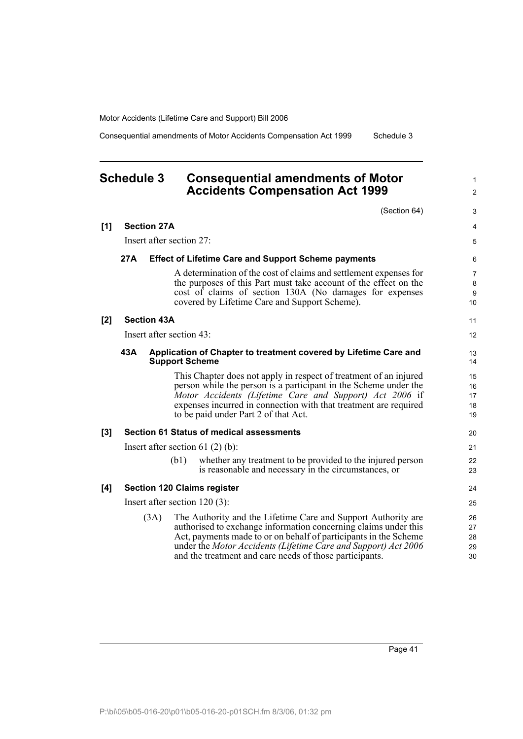Consequential amendments of Motor Accidents Compensation Act 1999 Schedule 3

# <span id="page-52-0"></span>**Schedule 3 Consequential amendments of Motor Accidents Compensation Act 1999**

(Section 64) **[1] Section 27A** Insert after section 27: **27A Effect of Lifetime Care and Support Scheme payments** A determination of the cost of claims and settlement expenses for the purposes of this Part must take account of the effect on the cost of claims of section 130A (No damages for expenses covered by Lifetime Care and Support Scheme). **[2] Section 43A** Insert after section 43: **43A Application of Chapter to treatment covered by Lifetime Care and Support Scheme** This Chapter does not apply in respect of treatment of an injured person while the person is a participant in the Scheme under the *Motor Accidents (Lifetime Care and Support) Act 2006* if expenses incurred in connection with that treatment are required to be paid under Part 2 of that Act. **[3] Section 61 Status of medical assessments** Insert after section 61 (2) (b): (b1) whether any treatment to be provided to the injured person is reasonable and necessary in the circumstances, or **[4] Section 120 Claims register** Insert after section 120 (3): (3A) The Authority and the Lifetime Care and Support Authority are authorised to exchange information concerning claims under this Act, payments made to or on behalf of participants in the Scheme under the *Motor Accidents (Lifetime Care and Support) Act 2006* and the treatment and care needs of those participants. 3 4 5 6 7 8 9 10 11 12 13 14 15 16 17 18 19 20 21 22 23 24 25 26 27 28 29 30

Page 41

1  $\mathfrak{p}$